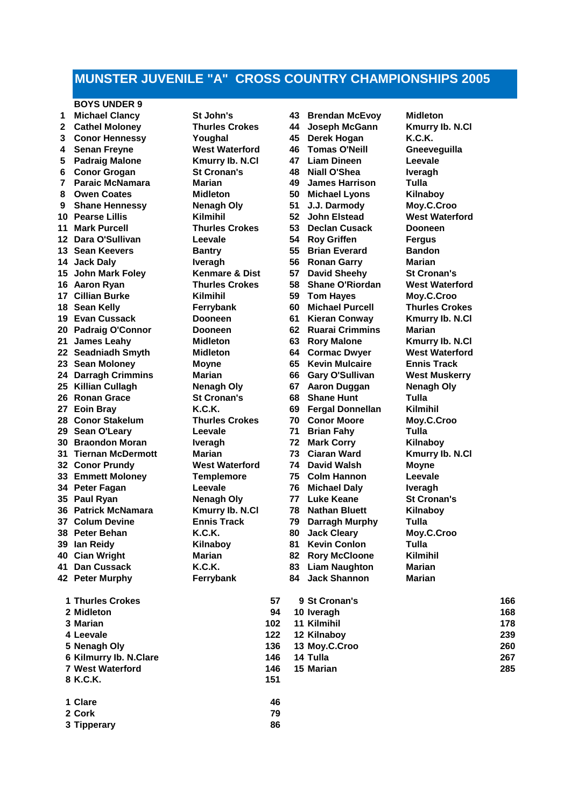# **MUNSTER JUVENILE "A" CROSS COUNTRY CHAMPIONSHIPS 2005**

### **BOYS UNDER 9**

 **Michael Clancy St John's 43 Brendan McEvoy Midleton Cathel Moloney Thurles Crokes 44 Joseph McGann Kmurry Ib. N.Cl Conor Hennessy Youghal 45 Derek Hogan K.C.K. Senan Freyne West Waterford 46 Tomas O'Neill Gneeveguilla Padraig Malone Kmurry Ib. N.Cl 47 Liam Dineen Leevale Conor Grogan St Cronan's 48 Niall O'Shea Iveragh Paraic McNamara Marian 49 James Harrison Tulla Owen Coates Midleton 50 Michael Lyons Kilnaboy Shane Hennessy Nenagh Oly 51 J.J. Darmody Pearse Lillis Kilmihil 52 John Elstead West Waterford Mark Purcell Thurles Crokes 53 Declan Cusack Dooneen Dara O'Sullivan Leevale 54 Roy Griffen Fergus Sean Keevers Bantry 55 Brian Everard Bandon Jack Daly Iveragh 56 Ronan Garry Marian John Mark Foley Kenmare & Dist 57 David Sheehy St Cronan's Aaron Ryan Thurles Crokes 58 Shane O'Riordan West Waterford Cillian Burke Kilmihil 59 Tom Hayes Moy.C.Croo Sean Kelly Ferrybank 60 Michael Purcell Thurles Crokes Evan Cussack Dooneen 61 Kieran Conway Kmurry Ib. N.Cl Padraig O'Connor Dooneen 62 Ruarai Crimmins Marian James Leahy Midleton 63 Rory Malone Kmurry Ib. N.Cl Seadniadh Smyth Midleton 64 Cormac Dwyer West Waterford Sean Moloney Moyne 65 Kevin Mulcaire Ennis Track Darragh Crimmins Marian 66 Gary O'Sullivan West Muskerry Killian Cullagh Nenagh Oly 67 Aaron Duggan Nenagh Oly Ronan Grace St Cronan's 68 Shane Hunt Tulla Eoin Bray K.C.K. 69 Fergal Donnellan Kilmihil Conor Stakelum Thurles Crokes 70 Conor Moore Moy.C.Croo Sean O'Leary Leevale 71 Brian Fahy Tulla Braondon Moran Iveragh 72 Mark Corry Kilnaboy Tiernan McDermott Marian 73 Ciaran Ward Kmurry Ib. N.Cl Conor Prundy West Waterford 74 David Walsh Moyne Emmett Moloney Templemore 75 Colm Hannon Leevale Peter Fagan Leevale 76 Michael Daly Iveragh Paul Ryan Nenagh Oly 77 Luke Keane St Cronan's Patrick McNamara Kmurry Ib. N.Cl 78 Nathan Bluett Kilnaboy Colum Devine Ennis Track 79 Darragh Murphy Tulla** Peter Behan **K.C.K.** 80 Jack Cleary **Ian Reidy Kilnaboy 81 Kevin Conlon Tulla Cian Wright Marian 82 Rory McCloone Kilmihil Dan Cussack K.C.K. 83 Liam Naughton Marian Peter Murphy Ferrybank 84 Jack Shannon Marian Thurles Crokes 57 9 St Cronan's 166**

| 1 Inuries Crokes        | 57  | 9 St Cronan's | 166 |
|-------------------------|-----|---------------|-----|
| 2 Midleton              | 94  | 10 Iveragh    | 168 |
| 3 Marian                | 102 | 11 Kilmihil   | 178 |
| 4 Leevale               | 122 | 12 Kilnaboy   | 239 |
| 5 Nenagh Oly            | 136 | 13 Moy.C.Croo | 260 |
| 6 Kilmurry Ib. N.Clare  | 146 | 14 Tulla      | 267 |
| <b>7 West Waterford</b> | 146 | 15 Marian     | 285 |
| 8 K.C.K.                | 151 |               |     |
| 1 Clare                 | 46  |               |     |
| 2 Cork                  | 79  |               |     |
| 3 Tipperary             | 86  |               |     |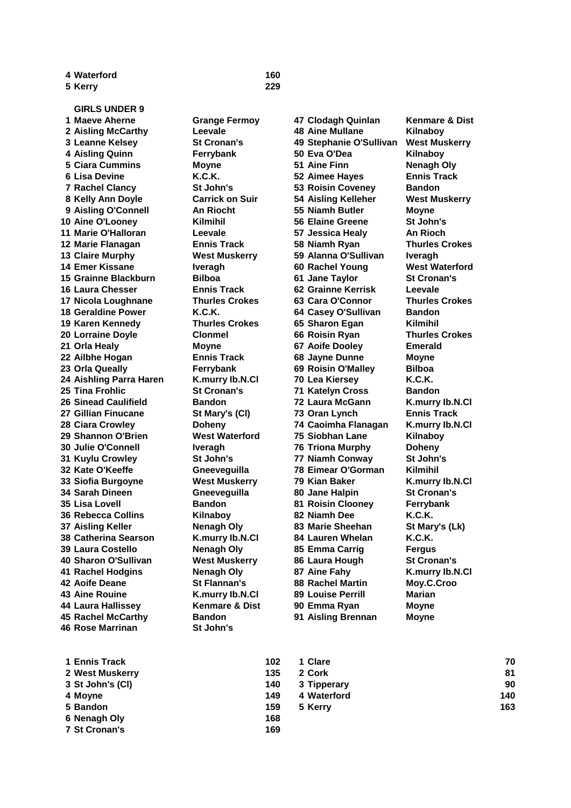**Kerry 229**

**GIRLS UNDER 9 Maeve Aherne Grange Fermoy 47 Clodagh Quinlan Kenmare & Dist Aisling McCarthy Leevale 48 Aine Mullane Kilnaboy Leanne Kelsey St Cronan's 49 Stephanie O'Sullivan West Muskerry Aisling Quinn Ferrybank 50 Eva O'Dea Kilnaboy Ciara Cummins Moyne 51 Aine Finn Nenagh Oly Lisa Devine K.C.K. 52 Aimee Hayes Ennis Track Rachel Clancy St John's 53 Roisin Coveney Bandon Kelly Ann Doyle Carrick on Suir 54 Aisling Kelleher West Muskerry Aisling O'Connell An Riocht 55 Niamh Butler Moyne Aine O'Looney Kilmihil 56 Elaine Greene St John's Marie O'Halloran Leevale 57 Jessica Healy An Rioch Marie Flanagan Ennis Track 58 Niamh Ryan Thurles Crokes Claire Murphy West Muskerry 59 Alanna O'Sullivan Iveragh Emer Kissane Iveragh 60 Rachel Young West Waterford Grainne Blackburn Bilboa 61 Jane Taylor St Cronan's Laura Chesser Ennis Track 62 Grainne Kerrisk Leevale Nicola Loughnane Thurles Crokes 63 Cara O'Connor Thurles Crokes Geraldine Power K.C.K. 64 Casey O'Sullivan Bandon Karen Kennedy Thurles Crokes 65 Sharon Egan Kilmihil Lorraine Doyle Clonmel 66 Roisin Ryan Thurles Crokes Orla Healy Moyne 67 Aoife Dooley Emerald Ailbhe Hogan Ennis Track 68 Jayne Dunne Moyne Orla Queally Ferrybank 69 Roisin O'Malley Bilboa Aishling Parra Haren K.murry Ib.N.Cl 70 Lea Kiersey K.C.K. Tina Frohlic St Cronan's 71 Katelyn Cross Bandon Sinead Caulifield Bandon 72 Laura McGann K.murry Ib.N.Cl Gillian Finucane St Mary's (Cl) 73 Oran Lynch Ennis Track Ciara Crowley Doheny 74 Caoimha Flanagan K.murry Ib.N.Cl Shannon O'Brien West Waterford 75 Siobhan Lane Kilnaboy Julie O'Connell Iveragh 76 Triona Murphy Doheny Kuylu Crowley St John's 77 Niamh Conway St John's Kate O'Keeffe Gneeveguilla 78 Eimear O'Gorman Kilmihil Siofia Burgoyne West Muskerry 79 Kian Baker K.murry Ib.N.Cl Sarah Dineen Gneeveguilla 80 Jane Halpin St Cronan's Lisa Lovell Bandon 81 Roisin Clooney Ferrybank Rebecca Collins Kilnaboy 82 Niamh Dee K.C.K. Aisling Keller Nenagh Oly 83 Marie Sheehan St Mary's (Lk) Catherina Searson K.murry Ib.N.Cl 84 Lauren Whelan K.C.K. Laura Costello Nenagh Oly 85 Emma Carrig Fergus Sharon O'Sullivan West Muskerry 86 Laura Hough St Cronan's Rachel Hodgins Nenagh Oly 87 Aine Fahy K.murry Ib.N.Cl Aoife Deane St Flannan's 88 Rachel Martin Moy.C.Croo Aine Rouine K.murry Ib.N.Cl 89 Louise Perrill Marian Laura Hallissey Kenmare & Dist 90 Emma Ryan Moyne Rachel McCarthy Bandon 91 Aisling Brennan Moyne Rose Marrinan St John's** 

| 1 Ennis Track        | 102 | 1 Clare     | 70  |
|----------------------|-----|-------------|-----|
| 2 West Muskerry      | 135 | 2 Cork      | 81  |
| 3 St John's (CI)     | 140 | 3 Tipperary | 90  |
| 4 Moyne              | 149 | 4 Waterford | 140 |
| 5 Bandon             | 159 | 5 Kerry     | 163 |
| 6 Nenagh Oly         | 168 |             |     |
| <b>7 St Cronan's</b> | 169 |             |     |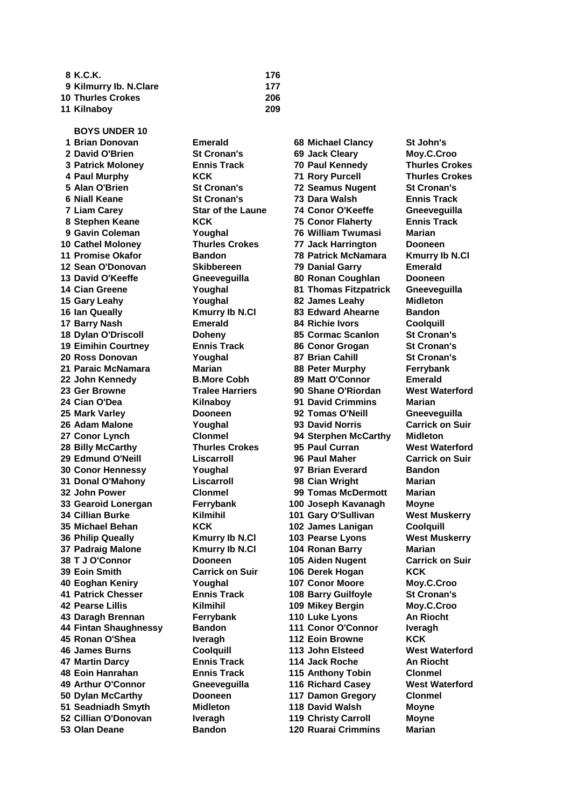| 8 K.C.K.                 | 176 |
|--------------------------|-----|
| 9 Kilmurry Ib. N.Clare   | 177 |
| <b>10 Thurles Crokes</b> | 206 |
| 11 Kilnaboy              | 209 |

**BOYS UNDER 10 Brian Donovan Emerald 68 Michael Clancy St John's Cathel Moloney Thurles Crokes 77 Jack Harrington Dooneen Promise Okafor Bandon 78 Patrick McNamara Kmurry Ib N.Cl Sean O'Donovan Skibbereen 79 Danial Garry Emerald David O'Keeffe Gneeveguilla 80 Ronan Coughlan Dooneen Cian Greene Youghal 81 Thomas Fitzpatrick Gneeveguilla Gary Leahy Youghal 82 James Leahy Midleton Ian Queally Kmurry Ib N.Cl 83 Edward Ahearne Bandon Barry Nash Emerald 84 Richie Ivors Coolquill Dylan O'Driscoll Doheny 85 Cormac Scanlon St Cronan's Eimihin Courtney Ennis Track 86 Conor Grogan St Cronan's Ross Donovan Youghal 87 Brian Cahill St Cronan's Paraic McNamara Marian 88 Peter Murphy Ferrybank John Kennedy B.More Cobh 89 Matt O'Connor Emerald Ger Browne Tralee Harriers 90 Shane O'Riordan West Waterford Cian O'Dea Kilnaboy 91 David Crimmins Marian Mark Varley Dooneen 92 Tomas O'Neill Gneeveguilla Adam Malone Youghal 93 David Norris Carrick on Suir Conor Lynch Clonmel 94 Sterphen McCarthy Midleton Billy McCarthy Thurles Crokes 95 Paul Curran West Waterford Edmund O'Neill Liscarroll 96 Paul Maher Carrick on Suir Conor Hennessy Youghal 97 Brian Everard Bandon Donal O'Mahony Liscarroll 98 Cian Wright Marian John Power Clonmel 99 Tomas McDermott Marian Gearoid Lonergan Ferrybank 100 Joseph Kavanagh Moyne Cillian Burke Kilmihil 101 Gary O'Sullivan West Muskerry Michael Behan KCK 102 James Lanigan Coolquill Philip Queally Kmurry Ib N.Cl 103 Pearse Lyons West Muskerry Padraig Malone Kmurry Ib N.Cl 104 Ronan Barry Marian T J O'Connor Dooneen 105 Aiden Nugent Carrick on Suir Eoin Smith Carrick on Suir 106 Derek Hogan KCK Eoghan Keniry Youghal 107 Conor Moore Moy.C.Croo Patrick Chesser Ennis Track 108 Barry Guilfoyle St Cronan's Pearse Lillis Kilmihil 109 Mikey Bergin Moy.C.Croo Daragh Brennan Ferrybank 110 Luke Lyons An Riocht Fintan Shaughnessy Bandon 111 Conor O'Connor Iveragh Ronan O'Shea Iveragh 112 Eoin Browne KCK James Burns Coolquill 113 John Elsteed West Waterford Martin Darcy Ennis Track 114 Jack Roche An Riocht Eoin Hanrahan Ennis Track 115 Anthony Tobin Clonmel Arthur O'Connor Gneeveguilla 116 Richard Casey West Waterford Dylan McCarthy Dooneen 117 Damon Gregory Clonmel Seadniadh Smyth Midleton 118 David Walsh Moyne Cillian O'Donovan Iveragh 119 Christy Carroll Moyne Olan Deane Bandon 120 Ruarai Crimmins Marian**

 **David O'Brien St Cronan's 69 Jack Cleary Moy.C.Croo Patrick Moloney Ennis Track 70 Paul Kennedy Thurles Crokes Paul Murphy KCK 71 Rory Purcell Thurles Crokes Alan O'Brien St Cronan's 72 Seamus Nugent St Cronan's Niall Keane St Cronan's 73 Dara Walsh Ennis Track Liam Carey Star of the Laune 74 Conor O'Keeffe Gneeveguilla Stephen Keane KCK 75 Conor Flaherty Ennis Track Gavin Coleman Youghal 76 William Twumasi Marian**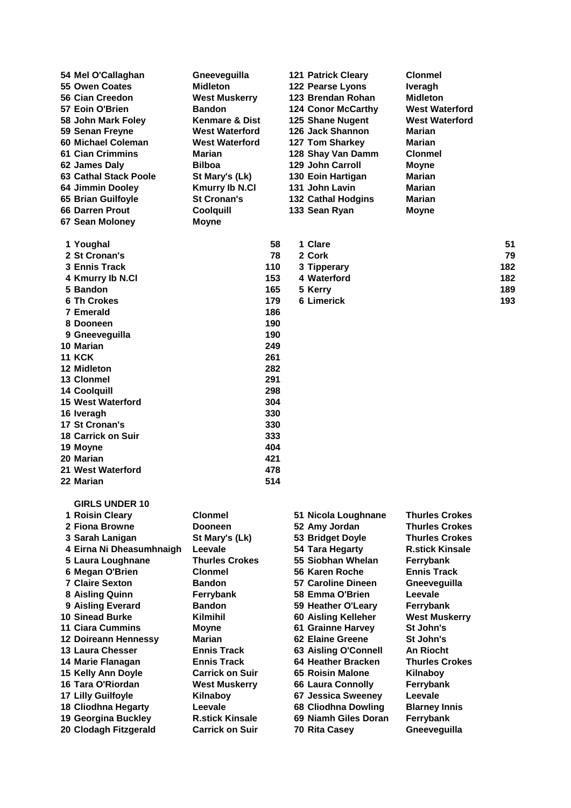|  | 54 Mel O'Callaghan<br>55 Owen Coates<br>56 Cian Creedon | Gneeveguilla<br><b>Midleton</b><br><b>West Muskerry</b> |     | <b>121 Patrick Cleary</b><br>122 Pearse Lyons<br>123 Brendan Rohan | <b>Clonmel</b><br>Iveragh<br>Midleton |     |
|--|---------------------------------------------------------|---------------------------------------------------------|-----|--------------------------------------------------------------------|---------------------------------------|-----|
|  | 57 Eoin O'Brien                                         | <b>Bandon</b>                                           |     | <b>124 Conor McCarthy</b>                                          | <b>West Waterford</b>                 |     |
|  | 58 John Mark Foley                                      | <b>Kenmare &amp; Dist</b>                               |     | 125 Shane Nugent                                                   | <b>West Waterford</b>                 |     |
|  | 59 Senan Freyne                                         | <b>West Waterford</b>                                   |     | 126 Jack Shannon                                                   | Marian                                |     |
|  | 60 Michael Coleman                                      | <b>West Waterford</b>                                   |     | 127 Tom Sharkey                                                    | Marian                                |     |
|  | <b>61 Cian Crimmins</b>                                 | Marian                                                  |     | 128 Shay Van Damm                                                  | <b>Clonmel</b>                        |     |
|  | 62 James Daly                                           | <b>Bilboa</b>                                           |     | <b>129 John Carroll</b>                                            | <b>Moyne</b>                          |     |
|  | <b>63 Cathal Stack Poole</b>                            | St Mary's (Lk)                                          |     | 130 Eoin Hartigan                                                  | Marian                                |     |
|  | 64 Jimmin Dooley                                        | <b>Kmurry Ib N.Cl</b>                                   |     | 131 John Lavin                                                     | Marian                                |     |
|  | 65 Brian Guilfoyle                                      | <b>St Cronan's</b>                                      |     | <b>132 Cathal Hodgins</b>                                          | Marian                                |     |
|  | <b>66 Darren Prout</b>                                  | Coolquill                                               |     | 133 Sean Ryan                                                      | <b>Moyne</b>                          |     |
|  | 67 Sean Moloney                                         | <b>Moyne</b>                                            |     |                                                                    |                                       |     |
|  |                                                         |                                                         |     |                                                                    |                                       |     |
|  | 1 Youghal                                               |                                                         | 58  | 1 Clare                                                            |                                       | 51  |
|  | 2 St Cronan's                                           |                                                         | 78  | 2 Cork                                                             |                                       | 79  |
|  | <b>3 Ennis Track</b>                                    |                                                         | 110 | 3 Tipperary                                                        |                                       | 182 |
|  | 4 Kmurry lb N.Cl                                        |                                                         | 153 | 4 Waterford                                                        |                                       | 182 |
|  | 5 Bandon                                                |                                                         | 165 | 5 Kerry                                                            |                                       | 189 |
|  | <b>6 Th Crokes</b>                                      |                                                         | 179 | <b>6 Limerick</b>                                                  |                                       | 193 |
|  | <b>7 Emerald</b>                                        |                                                         | 186 |                                                                    |                                       |     |
|  | 8 Dooneen                                               |                                                         | 190 |                                                                    |                                       |     |
|  | 9 Gneeveguilla                                          |                                                         | 190 |                                                                    |                                       |     |
|  | 10 Marian                                               |                                                         | 249 |                                                                    |                                       |     |
|  | <b>11 KCK</b>                                           |                                                         | 261 |                                                                    |                                       |     |
|  | 12 Midleton                                             |                                                         | 282 |                                                                    |                                       |     |
|  | 13 Clonmel                                              |                                                         | 291 |                                                                    |                                       |     |
|  | <b>14 Coolquill</b>                                     |                                                         | 298 |                                                                    |                                       |     |
|  | <b>15 West Waterford</b>                                |                                                         | 304 |                                                                    |                                       |     |
|  | 16 Iveragh                                              |                                                         | 330 |                                                                    |                                       |     |
|  | 17 St Cronan's                                          |                                                         | 330 |                                                                    |                                       |     |
|  | <b>18 Carrick on Suir</b>                               |                                                         | 333 |                                                                    |                                       |     |
|  | 19 Moyne                                                |                                                         | 404 |                                                                    |                                       |     |
|  | 20 Marian                                               |                                                         | 421 |                                                                    |                                       |     |
|  | 21 West Waterford                                       |                                                         | 478 |                                                                    |                                       |     |
|  | 22 Marian                                               |                                                         | 514 |                                                                    |                                       |     |
|  | <b>GIRLS UNDER 10</b>                                   |                                                         |     |                                                                    |                                       |     |
|  |                                                         |                                                         |     |                                                                    |                                       |     |

| 1 Roisin Cleary          | <b>Clonmel</b>         | 51 Nicola Loughnane      | <b>Thurles Crokes</b>  |
|--------------------------|------------------------|--------------------------|------------------------|
| 2 Fiona Browne           | <b>Dooneen</b>         | 52 Amy Jordan            | <b>Thurles Crokes</b>  |
| 3 Sarah Lanigan          | St Mary's (Lk)         | 53 Bridget Doyle         | <b>Thurles Crokes</b>  |
| 4 Eirna Ni Dheasumhnaigh | Leevale                | 54 Tara Hegarty          | <b>R.stick Kinsale</b> |
| 5 Laura Loughnane        | <b>Thurles Crokes</b>  | 55 Siobhan Whelan        | Ferrybank              |
| 6 Megan O'Brien          | <b>Clonmel</b>         | 56 Karen Roche           | <b>Ennis Track</b>     |
| <b>7 Claire Sexton</b>   | <b>Bandon</b>          | 57 Caroline Dineen       | Gneeveguilla           |
| 8 Aisling Quinn          | Ferrybank              | 58 Emma O'Brien          | Leevale                |
| 9 Aisling Everard        | <b>Bandon</b>          | 59 Heather O'Leary       | Ferrybank              |
| <b>10 Sinead Burke</b>   | <b>Kilmihil</b>        | 60 Aisling Kelleher      | <b>West Muskerry</b>   |
| <b>11 Ciara Cummins</b>  | <b>Moyne</b>           | 61 Grainne Harvey        | St John's              |
| 12 Doireann Hennessy     | Marian                 | 62 Elaine Greene         | St John's              |
| 13 Laura Chesser         | <b>Ennis Track</b>     | 63 Aisling O'Connell     | <b>An Riocht</b>       |
| 14 Marie Flanagan        | <b>Ennis Track</b>     | 64 Heather Bracken       | <b>Thurles Crokes</b>  |
| 15 Kelly Ann Doyle       | <b>Carrick on Suir</b> | 65 Roisin Malone         | Kilnaboy               |
| 16 Tara O'Riordan        | <b>West Muskerry</b>   | <b>66 Laura Connolly</b> | Ferrybank              |
| 17 Lilly Guilfoyle       | Kilnaboy               | 67 Jessica Sweeney       | Leevale                |
| 18 Cliodhna Hegarty      | Leevale                | 68 Cliodhna Dowling      | <b>Blarney Innis</b>   |
| 19 Georgina Buckley      | <b>R.stick Kinsale</b> | 69 Niamh Giles Doran     | Ferrybank              |
| 20 Clodagh Fitzgerald    | <b>Carrick on Suir</b> | 70 Rita Casey            | Gneeveguilla           |
|                          |                        |                          |                        |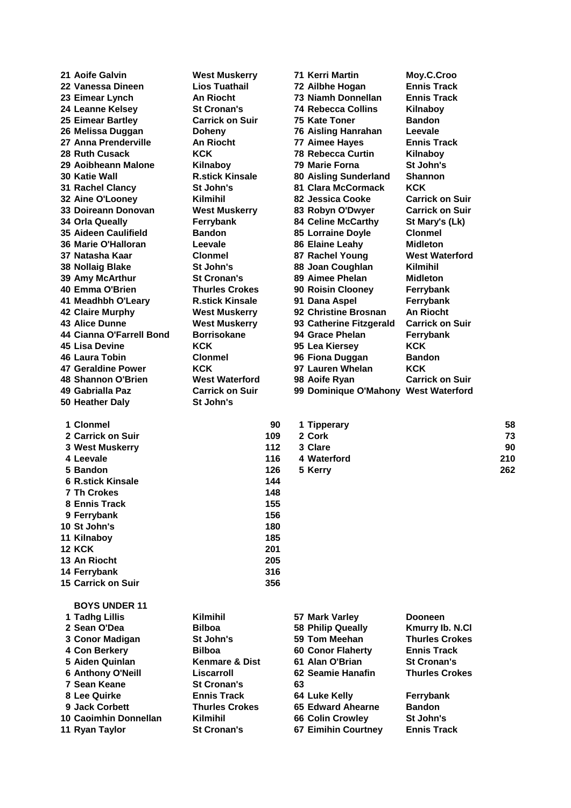| 21 Aoife Galvin                         | <b>West Muskerry</b>                     |            |    | 71 Kerri Martin                                     | Moy.C.Croo                 |     |
|-----------------------------------------|------------------------------------------|------------|----|-----------------------------------------------------|----------------------------|-----|
| 22 Vanessa Dineen                       | <b>Lios Tuathail</b>                     |            |    | 72 Ailbhe Hogan                                     | <b>Ennis Track</b>         |     |
| 23 Eimear Lynch                         | <b>An Riocht</b>                         |            |    | 73 Niamh Donnellan                                  | <b>Ennis Track</b>         |     |
| 24 Leanne Kelsey                        | <b>St Cronan's</b>                       |            |    | 74 Rebecca Collins                                  | Kilnaboy                   |     |
| 25 Eimear Bartley                       | <b>Carrick on Suir</b>                   |            |    | 75 Kate Toner                                       | <b>Bandon</b>              |     |
| 26 Melissa Duggan                       | <b>Doheny</b>                            |            |    | 76 Aisling Hanrahan                                 | Leevale                    |     |
| 27 Anna Prenderville                    | <b>An Riocht</b>                         |            |    | 77 Aimee Hayes                                      | <b>Ennis Track</b>         |     |
| 28 Ruth Cusack                          | <b>KCK</b>                               |            |    | <b>78 Rebecca Curtin</b>                            | Kilnaboy                   |     |
| 29 Aoibheann Malone                     | Kilnaboy                                 |            |    | 79 Marie Forna                                      | St John's                  |     |
| <b>30 Katie Wall</b>                    | <b>R.stick Kinsale</b>                   |            |    | 80 Aisling Sunderland                               | <b>Shannon</b>             |     |
| 31 Rachel Clancy                        | St John's                                |            |    | 81 Clara McCormack                                  | <b>KCK</b>                 |     |
| 32 Aine O'Looney                        | Kilmihil                                 |            |    | 82 Jessica Cooke                                    | <b>Carrick on Suir</b>     |     |
| 33 Doireann Donovan                     | <b>West Muskerry</b>                     |            |    | 83 Robyn O'Dwyer                                    | <b>Carrick on Suir</b>     |     |
| 34 Orla Queally                         | Ferrybank                                |            |    | <b>84 Celine McCarthy</b>                           | St Mary's (Lk)             |     |
| 35 Aideen Caulifield                    | <b>Bandon</b>                            |            |    | 85 Lorraine Doyle                                   | <b>Clonmel</b>             |     |
| 36 Marie O'Halloran                     | Leevale                                  |            |    | 86 Elaine Leahy                                     | Midleton                   |     |
| 37 Natasha Kaar                         | Clonmel                                  |            |    | 87 Rachel Young                                     | <b>West Waterford</b>      |     |
| 38 Nollaig Blake                        | St John's                                |            |    | 88 Joan Coughlan                                    | <b>Kilmihil</b>            |     |
| 39 Amy McArthur                         | <b>St Cronan's</b>                       |            |    | 89 Aimee Phelan                                     | <b>Midleton</b>            |     |
| 40 Emma O'Brien                         | <b>Thurles Crokes</b>                    |            |    | 90 Roisin Clooney                                   | Ferrybank                  |     |
| 41 Meadhbh O'Leary                      | <b>R.stick Kinsale</b>                   |            |    | 91 Dana Aspel                                       | Ferrybank                  |     |
| <b>42 Claire Murphy</b>                 | <b>West Muskerry</b>                     |            |    | 92 Christine Brosnan                                | An Riocht                  |     |
| <b>43 Alice Dunne</b>                   | <b>West Muskerry</b>                     |            |    | 93 Catherine Fitzgerald                             | <b>Carrick on Suir</b>     |     |
| 44 Cianna O'Farrell Bond                | <b>Borrisokane</b>                       |            |    | 94 Grace Phelan                                     | Ferrybank                  |     |
| <b>45 Lisa Devine</b>                   | <b>KCK</b>                               |            |    | 95 Lea Kiersey                                      | <b>KCK</b>                 |     |
| 46 Laura Tobin                          | <b>Clonmel</b>                           |            |    | 96 Fiona Duggan                                     | <b>Bandon</b>              |     |
| 47 Geraldine Power                      | <b>KCK</b>                               |            |    | 97 Lauren Whelan                                    | <b>KCK</b>                 |     |
| 48 Shannon O'Brien                      | <b>West Waterford</b>                    |            |    | 98 Aoife Ryan                                       | <b>Carrick on Suir</b>     |     |
| 49 Gabrialla Paz                        | <b>Carrick on Suir</b>                   |            |    | 99 Dominique O'Mahony West Waterford                |                            |     |
| 50 Heather Daly                         | St John's                                |            |    |                                                     |                            |     |
|                                         |                                          |            |    |                                                     |                            |     |
| 1 Clonmel                               |                                          | 90         |    | 1 Tipperary                                         |                            | 58  |
| 2 Carrick on Suir                       |                                          | 109        |    | 2 Cork                                              |                            | 73  |
| <b>3 West Muskerry</b>                  |                                          | 112        |    | 3 Clare                                             |                            | 90  |
| 4 Leevale                               |                                          | 116        |    | 4 Waterford                                         |                            | 210 |
| 5 Bandon                                |                                          | 126        |    | 5 Kerry                                             |                            | 262 |
| <b>6 R.stick Kinsale</b>                |                                          | 144        |    |                                                     |                            |     |
| <b>7 Th Crokes</b>                      |                                          | 148        |    |                                                     |                            |     |
| 8 Ennis Track                           |                                          | 155<br>156 |    |                                                     |                            |     |
| 9 Ferrybank<br>10 St John's             |                                          | 180        |    |                                                     |                            |     |
| 11 Kilnaboy                             |                                          | 185        |    |                                                     |                            |     |
| <b>12 KCK</b>                           |                                          | 201        |    |                                                     |                            |     |
| 13 An Riocht                            |                                          | 205        |    |                                                     |                            |     |
| 14 Ferrybank                            |                                          | 316        |    |                                                     |                            |     |
| 15 Carrick on Suir                      |                                          | 356        |    |                                                     |                            |     |
|                                         |                                          |            |    |                                                     |                            |     |
| <b>BOYS UNDER 11</b>                    |                                          |            |    |                                                     |                            |     |
| 1 Tadhg Lillis                          | <b>Kilmihil</b>                          |            |    | 57 Mark Varley                                      | <b>Dooneen</b>             |     |
| 2 Sean O'Dea                            | <b>Bilboa</b>                            |            |    | 58 Philip Queally                                   | Kmurry Ib. N.Cl            |     |
| 3 Conor Madigan                         | St John's                                |            |    | 59 Tom Meehan                                       | <b>Thurles Crokes</b>      |     |
| 4 Con Berkery                           | <b>Bilboa</b>                            |            |    | <b>60 Conor Flaherty</b>                            | <b>Ennis Track</b>         |     |
| 5 Aiden Quinlan                         | <b>Kenmare &amp; Dist</b>                |            |    | 61 Alan O'Brian                                     | <b>St Cronan's</b>         |     |
|                                         |                                          |            |    |                                                     | <b>Thurles Crokes</b>      |     |
| <b>6 Anthony O'Neill</b>                | Liscarroll                               |            |    | 62 Seamie Hanafin                                   |                            |     |
| 7 Sean Keane                            | <b>St Cronan's</b>                       |            | 63 |                                                     |                            |     |
| 8 Lee Quirke                            | <b>Ennis Track</b>                       |            |    | 64 Luke Kelly                                       | Ferrybank                  |     |
| 9 Jack Corbett<br>10 Caoimhin Donnellan | <b>Thurles Crokes</b><br><b>Kilmihil</b> |            |    | <b>65 Edward Ahearne</b><br><b>66 Colin Crowley</b> | <b>Bandon</b><br>St John's |     |

- 10 Caoimhin Donnellan **Kilmihil 66 Colin Crowley**
- **Ryan Taylor St Cronan's 67 Eimihin Courtney Ennis Track**
	-
-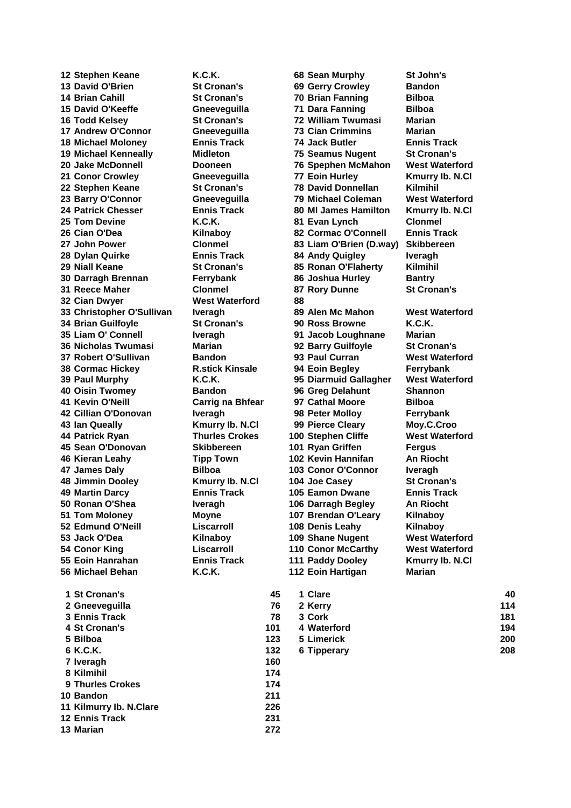**Stephen Keane K.C.K. 68 Sean Murphy St John's David O'Brien St Cronan's 69 Gerry Crowley Bandon Brian Cahill St Cronan's 70 Brian Fanning Bilboa David O'Keeffe Gneeveguilla 71 Dara Fanning Bilboa Todd Kelsey St Cronan's 72 William Twumasi Marian Andrew O'Connor Gneeveguilla 73 Cian Crimmins Marian Michael Moloney Ennis Track 74 Jack Butler Ennis Track Michael Kenneally Midleton 75 Seamus Nugent St Cronan's Jake McDonnell Dooneen 76 Spephen McMahon West Waterford Conor Crowley Gneeveguilla 77 Eoin Hurley Kmurry Ib. N.Cl Stephen Keane St Cronan's 78 David Donnellan Kilmihil Barry O'Connor Gneeveguilla 79 Michael Coleman West Waterford Patrick Chesser Ennis Track 80 Ml James Hamilton Kmurry Ib. N.Cl Tom Devine K.C.K. 81 Evan Lynch Clonmel John Power Clonmel 83 Liam O'Brien (D.way) Skibbereen Dylan Quirke Ennis Track 84 Andy Quigley Iveragh Niall Keane St Cronan's 85 Ronan O'Flaherty Kilmihil Darragh Brennan Ferrybank 86 Joshua Hurley Bantry Reece Maher Clonmel 87 Rory Dunne St Cronan's Cian Dwyer West Waterford 88 Christopher O'Sullivan Iveragh 89 Alen Mc Mahon West Waterford Brian Guilfoyle St Cronan's 90 Ross Browne K.C.K. Liam O' Connell Iveragh 91 Jacob Loughnane Marian Nicholas Twumasi Marian 92 Barry Guilfoyle St Cronan's Robert O'Sullivan Bandon 93 Paul Curran West Waterford Cormac Hickey R.stick Kinsale 94 Eoin Begley Ferrybank Paul Murphy K.C.K. 95 Diarmuid Gallagher West Waterford Oisin Twomey Bandon 96 Greg Delahunt Shannon Kevin O'Neill Carrig na Bhfear 97 Cathal Moore Bilboa Cillian O'Donovan Iveragh 98 Peter Molloy Ferrybank Ian Queally Kmurry Ib. N.Cl 99 Pierce Cleary Moy.C.Croo Patrick Ryan Thurles Crokes 100 Stephen Cliffe West Waterford Sean O'Donovan Skibbereen 101 Ryan Griffen Fergus Kieran Leahy Tipp Town 102 Kevin Hannifan An Riocht James Daly Bilboa 103 Conor O'Connor Iveragh Jimmin Dooley Kmurry Ib. N.Cl 104 Joe Casey St Cronan's Martin Darcy Ennis Track 105 Eamon Dwane Ennis Track Ronan O'Shea Iveragh 106 Darragh Begley An Riocht Tom Moloney Moyne 107 Brendan O'Leary Kilnaboy Edmund O'Neill Liscarroll 108 Denis Leahy Kilnaboy Jack O'Dea Kilnaboy 109 Shane Nugent West Waterford Conor King Liscarroll 110 Conor McCarthy West Waterford Eoin Hanrahan Ennis Track 111 Paddy Dooley Kmurry Ib. N.Cl Michael Behan K.C.K. 112 Eoin Hartigan Marian St Cronan's 45 1 Clare 40 Gneeveguilla 76 2 Kerry 114 Ennis Track 78 3 Cork 181 St Cronan's 101 4 Waterford 194**

**Cian O'Dea Kilnaboy 82 Cormac O'Connell Ennis Track**

| 1 St Cronan's  | 45  | 1 Clare     | 40  |
|----------------|-----|-------------|-----|
| 2 Gneeveguilla | 76  | 2 Kerry     | 114 |
| 3 Ennis Track  | 78  | 3 Cork      | 181 |
| 4 St Cronan's  | 101 | 4 Waterford | 194 |
| 5 Bilboa       | 123 | 5 Limerick  | 200 |
| 6 K.C.K.       | 132 | 6 Tipperary | 208 |
|                |     |             |     |

 **Ennis Track 231 Marian 272**

 **Iveragh 160 Kilmihil 174 Thurles Crokes 174 Bandon 211 Kilmurry Ib. N.Clare 226**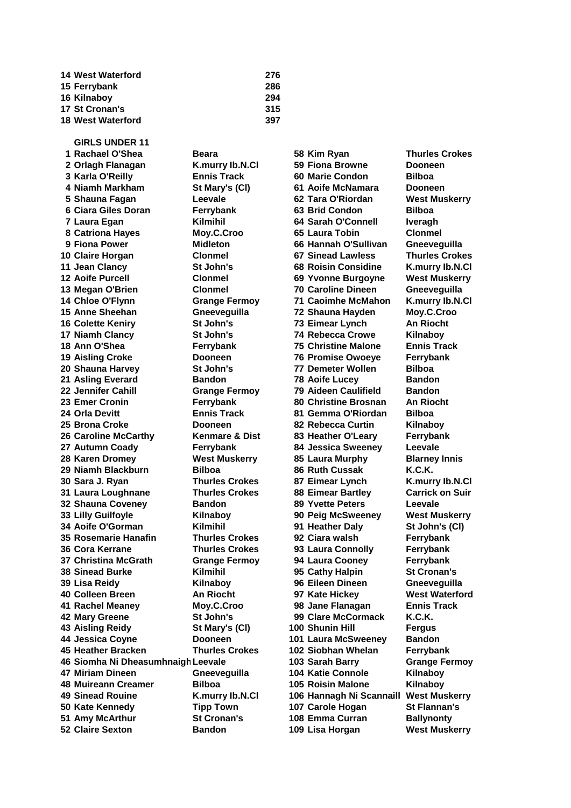| <b>14 West Waterford</b> | 276 |
|--------------------------|-----|
| 15 Ferrybank             | 286 |
| 16 Kilnaboy              | 294 |
| 17 St Cronan's           | 315 |
| <b>18 West Waterford</b> | 397 |

**GIRLS UNDER 11 Rachael O'Shea Beara 58 Kim Ryan Thurles Crokes Orlagh Flanagan K.murry Ib.N.Cl 59 Fiona Browne Dooneen Karla O'Reilly Ennis Track 60 Marie Condon Bilboa Niamh Markham St Mary's (Cl) 61 Aoife McNamara Dooneen Shauna Fagan Leevale 62 Tara O'Riordan West Muskerry Ciara Giles Doran Ferrybank 63 Brid Condon Bilboa Laura Egan Kilmihil 64 Sarah O'Connell Iveragh Catriona Hayes Moy.C.Croo 65 Laura Tobin Clonmel Fiona Power Midleton 66 Hannah O'Sullivan Gneeveguilla Claire Horgan Clonmel 67 Sinead Lawless Thurles Crokes Jean Clancy St John's 68 Roisin Considine K.murry Ib.N.Cl Aoife Purcell Clonmel 69 Yvonne Burgoyne West Muskerry Megan O'Brien Clonmel 70 Caroline Dineen Gneeveguilla Chloe O'Flynn Grange Fermoy 71 Caoimhe McMahon K.murry Ib.N.Cl Anne Sheehan Gneeveguilla 72 Shauna Hayden Moy.C.Croo Colette Keniry St John's 73 Eimear Lynch An Riocht Niamh Clancy St John's 74 Rebecca Crowe Kilnaboy Ann O'Shea Ferrybank 75 Christine Malone Ennis Track Aisling Croke Dooneen 76 Promise Owoeye Ferrybank Shauna Harvey St John's 77 Demeter Wollen Bilboa Asling Everard Bandon 78 Aoife Lucey Bandon Jennifer Cahill Grange Fermoy 79 Aideen Caulifield Bandon Emer Cronin Ferrybank 80 Christine Brosnan An Riocht Orla Devitt Ennis Track 81 Gemma O'Riordan Bilboa Brona Croke Dooneen 82 Rebecca Curtin Kilnaboy Caroline McCarthy Kenmare & Dist 83 Heather O'Leary Ferrybank Autumn Coady Ferrybank 84 Jessica Sweeney Leevale Karen Dromey West Muskerry 85 Laura Murphy Blarney Innis Niamh Blackburn Bilboa 86 Ruth Cussak K.C.K. Sara J. Ryan Thurles Crokes 87 Eimear Lynch K.murry Ib.N.Cl Laura Loughnane Thurles Crokes 88 Eimear Bartley Carrick on Suir Shauna Coveney Bandon 89 Yvette Peters Leevale Lilly Guilfoyle Kilnaboy 90 Peig McSweeney West Muskerry Aoife O'Gorman Kilmihil 91 Heather Daly St John's (Cl) Rosemarie Hanafin Thurles Crokes 92 Ciara walsh Ferrybank Cora Kerrane Thurles Crokes 93 Laura Connolly Ferrybank Christina McGrath Grange Fermoy 94 Laura Cooney Ferrybank Sinead Burke Kilmihil 95 Cathy Halpin St Cronan's Lisa Reidy Kilnaboy 96 Eileen Dineen Gneeveguilla Colleen Breen An Riocht 97 Kate Hickey West Waterford Rachel Meaney Moy.C.Croo 98 Jane Flanagan Ennis Track Mary Greene St John's 99 Clare McCormack K.C.K. Aisling Reidy St Mary's (Cl) 100 Shunin Hill Fergus Jessica Coyne Dooneen 101 Laura McSweeney Bandon Heather Bracken Thurles Crokes 102 Siobhan Whelan Ferrybank Siomha Ni DheasumhnaighLeevale 103 Sarah Barry Grange Fermoy Miriam Dineen Gneeveguilla 104 Katie Connole Kilnaboy Muireann Creamer Bilboa 105 Roisin Malone Kilnaboy Sinead Rouine K.murry Ib.N.Cl 106 Hannagh Ni Scannaill West Muskerry Kate Kennedy Tipp Town 107 Carole Hogan St Flannan's Amy McArthur St Cronan's 108 Emma Curran Ballynonty Claire Sexton Bandon 109 Lisa Horgan West Muskerry**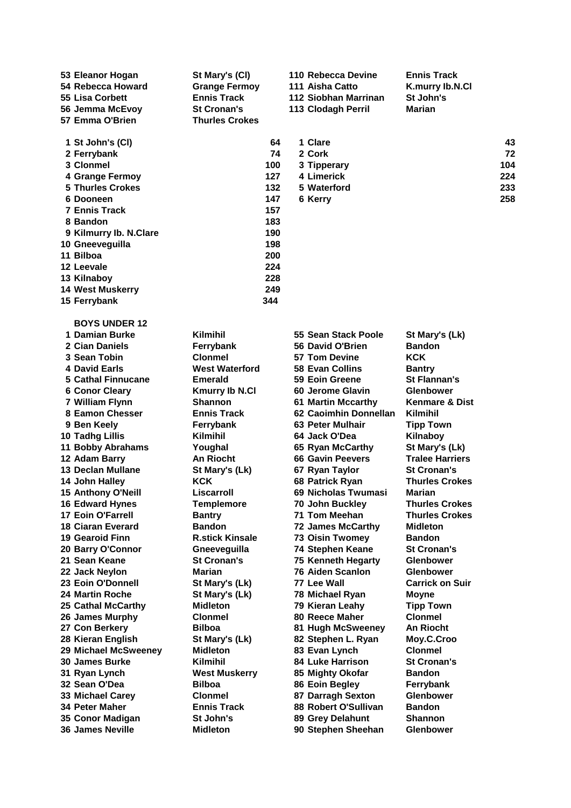| 53 Eleanor Hogan<br>54 Rebecca Howard<br>55 Lisa Corbett<br>56 Jemma McEvoy<br>57 Emma O'Brien | St Mary's (CI)<br><b>Grange Fermoy</b><br><b>Ennis Track</b><br><b>St Cronan's</b><br><b>Thurles Crokes</b> |    | 110 Rebecca Devine<br>111 Aisha Catto<br>112 Siobhan Marrinan<br>113 Clodagh Perril | <b>Ennis Track</b><br>K.murry lb.N.Cl<br>St John's<br><b>Marian</b> |
|------------------------------------------------------------------------------------------------|-------------------------------------------------------------------------------------------------------------|----|-------------------------------------------------------------------------------------|---------------------------------------------------------------------|
| 1 St John's (CI)                                                                               |                                                                                                             | 64 | 1 Clare                                                                             |                                                                     |

| 2 Ferrybank             | 74  |
|-------------------------|-----|
| 3 Clonmel               | 100 |
| 4 Grange Fermoy         | 127 |
| 5 Thurles Crokes        | 132 |
| 6 Dooneen               | 147 |
| <b>7 Ennis Track</b>    | 157 |
| 8 Bandon                | 183 |
| 9 Kilmurry Ib. N.Clare  | 190 |
| 10 Gneeveguilla         | 198 |
| 11 Bilboa               | 200 |
| 12 Leevale              | 224 |
| 13 Kilnaboy             | 228 |
| <b>14 West Muskerry</b> | 249 |
| 15 Ferrybank            | 344 |

| 1 St John's (CI)        | 64  | 1 Clare     | 43  |
|-------------------------|-----|-------------|-----|
| 2 Ferrybank             | 74  | 2 Cork      | 72  |
| 3 Clonmel               | 100 | 3 Tipperary | 104 |
| 4 Grange Fermoy         | 127 | 4 Limerick  | 224 |
| <b>5 Thurles Crokes</b> | 132 | 5 Waterford | 233 |
| 6 Dooneen               | 147 | 6 Kerrv     | 258 |

**BOYS UNDER 12**

| 1 Damlan Burke            | Kiiminii               | ວວ Sean Stack Poole         | St Mary's (LK)        |
|---------------------------|------------------------|-----------------------------|-----------------------|
| 2 Cian Daniels            | Ferrybank              | 56 David O'Brien            | Bandon                |
| 3 Sean Tobin              | <b>Clonmel</b>         | 57 Tom Devine               | <b>KCK</b>            |
| <b>4 David Earls</b>      | <b>West Waterford</b>  | 58 Evan Collins             | <b>Bantry</b>         |
| <b>5 Cathal Finnucane</b> | <b>Emerald</b>         | 59 Eoin Greene              | <b>St Flannan's</b>   |
| <b>6 Conor Cleary</b>     | <b>Kmurry Ib N.Cl</b>  | 60 Jerome Glavin            | <b>Glenbower</b>      |
| 7 William Flynn           | <b>Shannon</b>         | <b>61 Martin Mccarthy</b>   | Kenmare & Di          |
| 8 Eamon Chesser           | <b>Ennis Track</b>     | 62 Caoimhin Donnellan       | <b>Kilmihil</b>       |
| 9 Ben Keely               | Ferrybank              | 63 Peter Mulhair            | <b>Tipp Town</b>      |
| <b>10 Tadhg Lillis</b>    | <b>Kilmihil</b>        | 64 Jack O'Dea               | Kilnaboy              |
| <b>11 Bobby Abrahams</b>  | Youghal                | 65 Ryan McCarthy            | St Mary's (Lk)        |
| 12 Adam Barry             | <b>An Riocht</b>       | <b>66 Gavin Peevers</b>     | <b>Tralee Harrier</b> |
| <b>13 Declan Mullane</b>  | St Mary's (Lk)         | 67 Ryan Taylor              | <b>St Cronan's</b>    |
| 14 John Halley            | <b>KCK</b>             | 68 Patrick Ryan             | <b>Thurles Croke</b>  |
| 15 Anthony O'Neill        | Liscarroll             | 69 Nicholas Twumasi         | Marian                |
| <b>16 Edward Hynes</b>    | <b>Templemore</b>      | 70 John Buckley             | <b>Thurles Croke</b>  |
| <b>17 Eoin O'Farrell</b>  | <b>Bantry</b>          | 71 Tom Meehan               | <b>Thurles Croke</b>  |
| <b>18 Ciaran Everard</b>  | <b>Bandon</b>          | <b>72 James McCarthy</b>    | <b>Midleton</b>       |
| 19 Gearoid Finn           | <b>R.stick Kinsale</b> | <b>73 Oisin Twomey</b>      | Bandon                |
| 20 Barry O'Connor         | Gneeveguilla           | 74 Stephen Keane            | <b>St Cronan's</b>    |
| 21 Sean Keane             | <b>St Cronan's</b>     | 75 Kenneth Hegarty          | <b>Glenbower</b>      |
| 22 Jack Neylon            | Marian                 | <b>76 Aiden Scanlon</b>     | <b>Glenbower</b>      |
| 23 Eoin O'Donnell         | St Mary's (Lk)         | 77 Lee Wall                 | <b>Carrick on Su</b>  |
| <b>24 Martin Roche</b>    | St Mary's (Lk)         | 78 Michael Ryan             | <b>Moyne</b>          |
| 25 Cathal McCarthy        | <b>Midleton</b>        | 79 Kieran Leahy             | <b>Tipp Town</b>      |
| 26 James Murphy           | <b>Clonmel</b>         | 80 Reece Maher              | <b>Clonmel</b>        |
| 27 Con Berkery            | <b>Bilboa</b>          | 81 Hugh McSweeney           | An Riocht             |
| 28 Kieran English         | St Mary's (Lk)         | 82 Stephen L. Ryan          | Moy.C.Croo            |
| 29 Michael McSweenev      | <b>Midleton</b>        | 83 Evan Lynch               | <b>Clonmel</b>        |
| <b>30 James Burke</b>     | <b>Kilmihil</b>        | <b>84 Luke Harrison</b>     | <b>St Cronan's</b>    |
| 31 Ryan Lynch             | <b>West Muskerry</b>   | 85 Mighty Okofar            | <b>Bandon</b>         |
| 32 Sean O'Dea             | <b>Bilboa</b>          | 86 Eoin Begley              | Ferrybank             |
| 33 Michael Carey          | <b>Clonmel</b>         | 87 Darragh Sexton           | <b>Glenbower</b>      |
| <b>34 Peter Maher</b>     | <b>Ennis Track</b>     | <b>88 Robert O'Sullivan</b> | <b>Bandon</b>         |
| 35 Conor Madigan          | St John's              | 89 Grey Delahunt            | <b>Shannon</b>        |
| 36 James Neville          | <b>Midleton</b>        | 90 Stephen Sheehan          | <b>Glenbower</b>      |
|                           |                        |                             |                       |

| 1 Damian Burke           | <b>Kilmihil</b>        | 55 Sean Stack Poole       | St Mary's (Lk)            |
|--------------------------|------------------------|---------------------------|---------------------------|
| 2 Cian Daniels           | Ferrybank              | 56 David O'Brien          | <b>Bandon</b>             |
| 3 Sean Tobin             | <b>Clonmel</b>         | 57 Tom Devine             | <b>KCK</b>                |
| 4 David Earls            | <b>West Waterford</b>  | 58 Evan Collins           | <b>Bantry</b>             |
| 5 Cathal Finnucane       | <b>Emerald</b>         | 59 Eoin Greene            | <b>St Flannan's</b>       |
| <b>6 Conor Cleary</b>    | <b>Kmurry Ib N.Cl</b>  | 60 Jerome Glavin          | <b>Glenbower</b>          |
| 7 William Flynn          | <b>Shannon</b>         | <b>61 Martin Mccarthy</b> | <b>Kenmare &amp; Dist</b> |
| 8 Eamon Chesser          | <b>Ennis Track</b>     | 62 Caoimhin Donnellan     | <b>Kilmihil</b>           |
| 9 Ben Keely              | Ferrybank              | 63 Peter Mulhair          | <b>Tipp Town</b>          |
| 0 Tadhg Lillis           | <b>Kilmihil</b>        | 64 Jack O'Dea             | Kilnaboy                  |
| 1 Bobby Abrahams         | Youghal                | 65 Ryan McCarthy          | St Mary's (Lk)            |
| 2 Adam Barry             | <b>An Riocht</b>       | <b>66 Gavin Peevers</b>   | <b>Tralee Harriers</b>    |
| 3 Declan Mullane         | St Mary's (Lk)         | 67 Ryan Taylor            | <b>St Cronan's</b>        |
| 4 John Halley            | <b>KCK</b>             | 68 Patrick Ryan           | <b>Thurles Crokes</b>     |
| 5 Anthony O'Neill        | Liscarroll             | 69 Nicholas Twumasi       | <b>Marian</b>             |
| <b>6 Edward Hynes</b>    | <b>Templemore</b>      | 70 John Buckley           | <b>Thurles Crokes</b>     |
| <b>7 Eoin O'Farrell</b>  | <b>Bantry</b>          | 71 Tom Meehan             | <b>Thurles Crokes</b>     |
| 8 Ciaran Everard         | <b>Bandon</b>          | <b>72 James McCarthy</b>  | <b>Midleton</b>           |
| 9 Gearoid Finn           | <b>R.stick Kinsale</b> | <b>73 Oisin Twomey</b>    | <b>Bandon</b>             |
| 0 Barry O'Connor         | Gneeveguilla           | 74 Stephen Keane          | <b>St Cronan's</b>        |
| 1 Sean Keane             | <b>St Cronan's</b>     | <b>75 Kenneth Hegarty</b> | <b>Glenbower</b>          |
| 2 Jack Neylon            | <b>Marian</b>          | <b>76 Aiden Scanlon</b>   | <b>Glenbower</b>          |
| 3 Eoin O'Donnell         | St Mary's (Lk)         | 77 Lee Wall               | <b>Carrick on Suir</b>    |
| 4 Martin Roche           | St Mary's (Lk)         | 78 Michael Ryan           | <b>Moyne</b>              |
| <b>5 Cathal McCarthy</b> | <b>Midleton</b>        | 79 Kieran Leahy           | <b>Tipp Town</b>          |
| 6 James Murphy           | <b>Clonmel</b>         | 80 Reece Maher            | <b>Clonmel</b>            |
| 7 Con Berkery            | <b>Bilboa</b>          | 81 Hugh McSweeney         | <b>An Riocht</b>          |
| 8 Kieran English         | St Mary's (Lk)         | 82 Stephen L. Ryan        | Moy.C.Croo                |
| 9 Michael McSweeney      | <b>Midleton</b>        | 83 Evan Lynch             | <b>Clonmel</b>            |
| 0 James Burke            | <b>Kilmihil</b>        | <b>84 Luke Harrison</b>   | <b>St Cronan's</b>        |
| 1 Ryan Lynch             | <b>West Muskerry</b>   | 85 Mighty Okofar          | <b>Bandon</b>             |
| 2 Sean O'Dea             | <b>Bilboa</b>          | 86 Eoin Begley            | Ferrybank                 |
| 3 Michael Carey          | <b>Clonmel</b>         | 87 Darragh Sexton         | <b>Glenbower</b>          |
| 4 Peter Maher            | <b>Ennis Track</b>     | 88 Robert O'Sullivan      | <b>Bandon</b>             |
| 5 Conor Madigan          | St John's              | 89 Grey Delahunt          | <b>Shannon</b>            |
|                          |                        |                           |                           |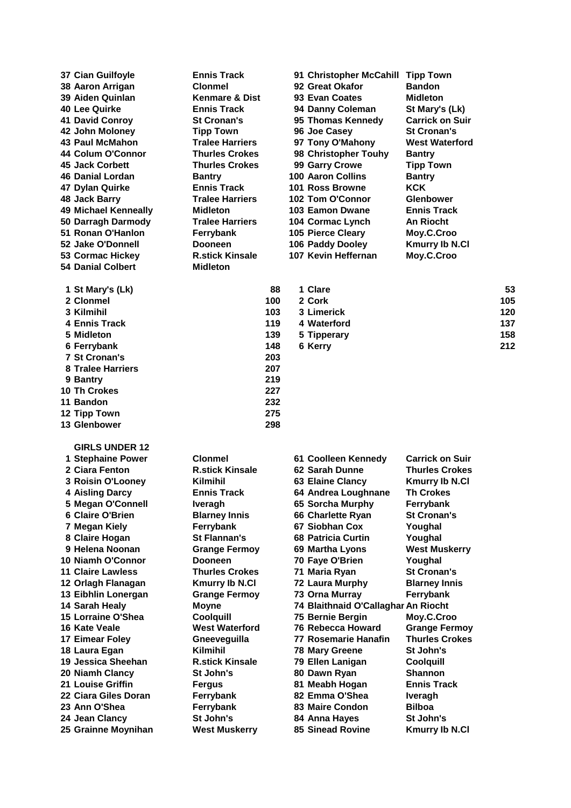**Danial Colbert Midleton**

 **Ennis Track 119 4 Waterford 137 St Cronan's 203 Tralee Harriers 207 Bantry 219 Th Crokes 227 Bandon 232 Tipp Town 275 Glenbower 298**

**GIRLS UNDER 12**

 **Cian Guilfoyle Ennis Track 91 Christopher McCahill Tipp Town Aaron Arrigan Clonmel 92 Great Okafor Bandon Aiden Quinlan Kenmare & Dist 93 Evan Coates Midleton Lee Quirke Ennis Track 94 Danny Coleman St Mary's (Lk) David Conroy St Cronan's 95 Thomas Kennedy Carrick on Suir John Moloney Tipp Town 96 Joe Casey St Cronan's Paul McMahon Tralee Harriers 97 Tony O'Mahony West Waterford Colum O'Connor Thurles Crokes 98 Christopher Touhy Bantry Jack Corbett Thurles Crokes 99 Garry Crowe Tipp Town Danial Lordan Bantry 100 Aaron Collins Bantry Dylan Quirke Ennis Track 101 Ross Browne KCK Jack Barry Tralee Harriers 102 Tom O'Connor Glenbower Michael Kenneally Midleton 103 Eamon Dwane Ennis Track Darragh Darmody Tralee Harriers 104 Cormac Lynch An Riocht Ronan O'Hanlon Ferrybank 105 Pierce Cleary Moy.C.Croo Jake O'Donnell Dooneen 106 Paddy Dooley Kmurry Ib N.Cl Cormac Hickey R.stick Kinsale 107 Kevin Heffernan Moy.C.Croo**

| 1 St Mary's (Lk) | 88  | 1 Clare     | 53  |
|------------------|-----|-------------|-----|
| 2 Clonmel        | 100 | 2 Cork      | 105 |
| 3 Kilmihil       | 103 | 3 Limerick  | 120 |
| 4 Ennis Track    | 119 | 4 Waterford | 137 |
| 5 Midleton       | 139 | 5 Tipperary | 158 |
| 6 Ferrybank      | 148 | 6 Kerry     | 212 |
|                  |     |             |     |

 **Stephaine Power Clonmel 61 Coolleen Kennedy Carrick on Suir Ciara Fenton R.stick Kinsale 62 Sarah Dunne Thurles Crokes Roisin O'Looney Kilmihil 63 Elaine Clancy Kmurry Ib N.Cl Aisling Darcy Ennis Track 64 Andrea Loughnane Th Crokes Megan O'Connell Iveragh 65 Sorcha Murphy Ferrybank Claire O'Brien Blarney Innis 66 Charlette Ryan St Cronan's Megan Kiely Ferrybank 67 Siobhan Cox Youghal Claire Hogan St Flannan's 68 Patricia Curtin Youghal Helena Noonan Grange Fermoy 69 Martha Lyons West Muskerry Niamh O'Connor Dooneen 70 Faye O'Brien Youghal Claire Lawless Thurles Crokes 71 Maria Ryan St Cronan's Orlagh Flanagan Kmurry Ib N.Cl 72 Laura Murphy Blarney Innis Eibhlin Lonergan Grange Fermoy 73 Orna Murray Ferrybank Sarah Healy Moyne 74 Blaithnaid O'CallaghanAn Riocht Lorraine O'Shea Coolquill 75 Bernie Bergin Moy.C.Croo Kate Veale West Waterford 76 Rebecca Howard Grange Fermoy Eimear Foley Gneeveguilla 77 Rosemarie Hanafin Thurles Crokes Laura Egan Kilmihil 78 Mary Greene St John's Jessica Sheehan R.stick Kinsale 79 Ellen Lanigan Coolquill Niamh Clancy St John's 80 Dawn Ryan Shannon Louise Griffin Fergus 81 Meabh Hogan Ennis Track Ciara Giles Doran Ferrybank 82 Emma O'Shea Iveragh Ann O'Shea Ferrybank 83 Maire Condon Bilboa Jean Clancy St John's 84 Anna Hayes St John's Grainne Moynihan West Muskerry 85 Sinead Rovine Kmurry Ib N.Cl**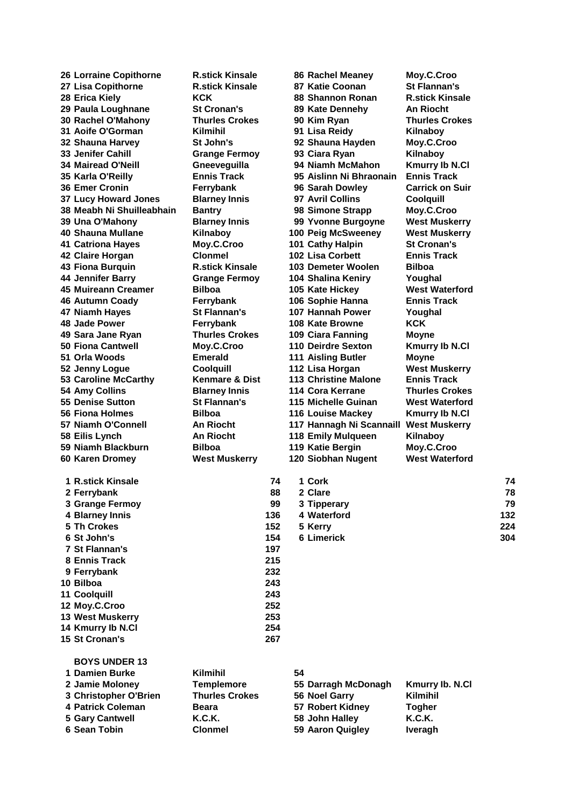| 26 Lorraine Copithorne      | <b>R.stick Kinsale</b>    |     |    | <b>86 Rachel Meaney</b>  | Moy.C.Croo                                  |     |
|-----------------------------|---------------------------|-----|----|--------------------------|---------------------------------------------|-----|
| 27 Lisa Copithorne          | <b>R.stick Kinsale</b>    |     |    | 87 Katie Coonan          | <b>St Flannan's</b>                         |     |
| 28 Erica Kiely              | <b>KCK</b>                |     |    | 88 Shannon Ronan         | <b>R.stick Kinsale</b>                      |     |
| 29 Paula Loughnane          | <b>St Cronan's</b>        |     |    | 89 Kate Dennehy          | <b>An Riocht</b>                            |     |
| 30 Rachel O'Mahony          | <b>Thurles Crokes</b>     |     |    | 90 Kim Ryan              | <b>Thurles Crokes</b>                       |     |
| 31 Aoife O'Gorman           | <b>Kilmihil</b>           |     |    | 91 Lisa Reidy            | Kilnaboy                                    |     |
| 32 Shauna Harvey            | St John's                 |     |    | 92 Shauna Hayden         | Moy.C.Croo                                  |     |
| <b>33 Jenifer Cahill</b>    | <b>Grange Fermoy</b>      |     |    | 93 Ciara Ryan            | Kilnaboy                                    |     |
| <b>34 Mairead O'Neill</b>   |                           |     |    | 94 Niamh McMahon         |                                             |     |
|                             | Gneeveguilla              |     |    |                          | <b>Kmurry Ib N.Cl</b><br><b>Ennis Track</b> |     |
| 35 Karla O'Reilly           | <b>Ennis Track</b>        |     |    | 95 Aislinn Ni Bhraonain  |                                             |     |
| <b>36 Emer Cronin</b>       | Ferrybank                 |     |    | 96 Sarah Dowley          | <b>Carrick on Suir</b>                      |     |
| <b>37 Lucy Howard Jones</b> | <b>Blarney Innis</b>      |     |    | 97 Avril Collins         | <b>Coolquill</b>                            |     |
| 38 Meabh Ni Shuilleabhain   | <b>Bantry</b>             |     |    | 98 Simone Strapp         | Moy.C.Croo                                  |     |
| 39 Una O'Mahony             | <b>Blarney Innis</b>      |     |    | 99 Yvonne Burgoyne       | <b>West Muskerry</b>                        |     |
| 40 Shauna Mullane           | Kilnaboy                  |     |    | 100 Peig McSweeney       | <b>West Muskerry</b>                        |     |
| <b>41 Catriona Hayes</b>    | Moy.C.Croo                |     |    | 101 Cathy Halpin         | <b>St Cronan's</b>                          |     |
| 42 Claire Horgan            | <b>Clonmel</b>            |     |    | <b>102 Lisa Corbett</b>  | <b>Ennis Track</b>                          |     |
| 43 Fiona Burguin            | <b>R.stick Kinsale</b>    |     |    | 103 Demeter Woolen       | <b>Bilboa</b>                               |     |
| 44 Jennifer Barry           | <b>Grange Fermoy</b>      |     |    | 104 Shalina Keniry       | Youghal                                     |     |
| 45 Muireann Creamer         | <b>Bilboa</b>             |     |    | 105 Kate Hickey          | <b>West Waterford</b>                       |     |
| <b>46 Autumn Coady</b>      | Ferrybank                 |     |    | 106 Sophie Hanna         | <b>Ennis Track</b>                          |     |
| 47 Niamh Hayes              | St Flannan's              |     |    | 107 Hannah Power         | Youghal                                     |     |
| 48 Jade Power               | Ferrybank                 |     |    | 108 Kate Browne          | <b>KCK</b>                                  |     |
| 49 Sara Jane Ryan           | <b>Thurles Crokes</b>     |     |    | 109 Ciara Fanning        | Moyne                                       |     |
| 50 Fiona Cantwell           | Moy.C.Croo                |     |    | 110 Deirdre Sexton       | <b>Kmurry Ib N.Cl</b>                       |     |
| 51 Orla Woods               | <b>Emerald</b>            |     |    |                          |                                             |     |
|                             |                           |     |    | 111 Aisling Butler       | <b>Moyne</b>                                |     |
| 52 Jenny Logue              | Coolquill                 |     |    | 112 Lisa Horgan          | <b>West Muskerry</b>                        |     |
| 53 Caroline McCarthy        | <b>Kenmare &amp; Dist</b> |     |    | 113 Christine Malone     | <b>Ennis Track</b>                          |     |
| 54 Amy Collins              | <b>Blarney Innis</b>      |     |    | 114 Cora Kerrane         | <b>Thurles Crokes</b>                       |     |
| 55 Denise Sutton            | <b>St Flannan's</b>       |     |    | 115 Michelle Guinan      | <b>West Waterford</b>                       |     |
| 56 Fiona Holmes             | <b>Bilboa</b>             |     |    | 116 Louise Mackey        | <b>Kmurry Ib N.Cl</b>                       |     |
| 57 Niamh O'Connell          | An Riocht                 |     |    | 117 Hannagh Ni Scannaill | <b>West Muskerry</b>                        |     |
| 58 Eilis Lynch              | <b>An Riocht</b>          |     |    | 118 Emily Mulqueen       | Kilnaboy                                    |     |
| 59 Niamh Blackburn          | Bilboa                    |     |    | 119 Katie Bergin         | Moy.C.Croo                                  |     |
| 60 Karen Dromey             | <b>West Muskerry</b>      |     |    | 120 Siobhan Nugent       | <b>West Waterford</b>                       |     |
|                             |                           |     |    |                          |                                             |     |
| 1 R.stick Kinsale           |                           | 74  |    | 1 Cork                   |                                             | 74  |
| 2 Ferrybank                 |                           | 88  |    | 2 Clare                  |                                             | 78  |
| 3 Grange Fermoy             |                           | 99  |    | 3 Tipperary              |                                             | 79  |
| 4 Blarney Innis             |                           | 136 |    | 4 Waterford              |                                             | 132 |
| 5 Th Crokes                 |                           | 152 |    | 5 Kerry                  |                                             | 224 |
| 6 St John's                 |                           | 154 |    | <b>6 Limerick</b>        |                                             | 304 |
| <b>7 St Flannan's</b>       |                           | 197 |    |                          |                                             |     |
| 8 Ennis Track               |                           | 215 |    |                          |                                             |     |
| 9 Ferrybank                 |                           | 232 |    |                          |                                             |     |
| 10 Bilboa                   |                           | 243 |    |                          |                                             |     |
|                             |                           |     |    |                          |                                             |     |
| 11 Coolquill                |                           | 243 |    |                          |                                             |     |
| 12 Moy.C.Croo               |                           | 252 |    |                          |                                             |     |
| 13 West Muskerry            |                           | 253 |    |                          |                                             |     |
| 14 Kmurry Ib N.Cl           |                           | 254 |    |                          |                                             |     |
| 15 St Cronan's              |                           | 267 |    |                          |                                             |     |
|                             |                           |     |    |                          |                                             |     |
| <b>BOYS UNDER 13</b>        |                           |     |    |                          |                                             |     |
| 1 Damien Burke              | <b>Kilmihil</b>           |     | 54 |                          |                                             |     |
| 2 Jamie Moloney             | <b>Templemore</b>         |     |    | 55 Darragh McDonagh      | Kmurry Ib. N.Cl                             |     |
| 3 Christopher O'Brien       | <b>Thurles Crokes</b>     |     |    | 56 Noel Garry            | <b>Kilmihil</b>                             |     |
| <b>4 Patrick Coleman</b>    | <b>Beara</b>              |     |    | 57 Robert Kidney         | <b>Togher</b>                               |     |
| <b>5 Gary Cantwell</b>      | K.C.K.                    |     |    | 58 John Halley           | K.C.K.                                      |     |
| 6 Sean Tobin                | <b>Clonmel</b>            |     |    | 59 Aaron Quigley         | Iveragh                                     |     |
|                             |                           |     |    |                          |                                             |     |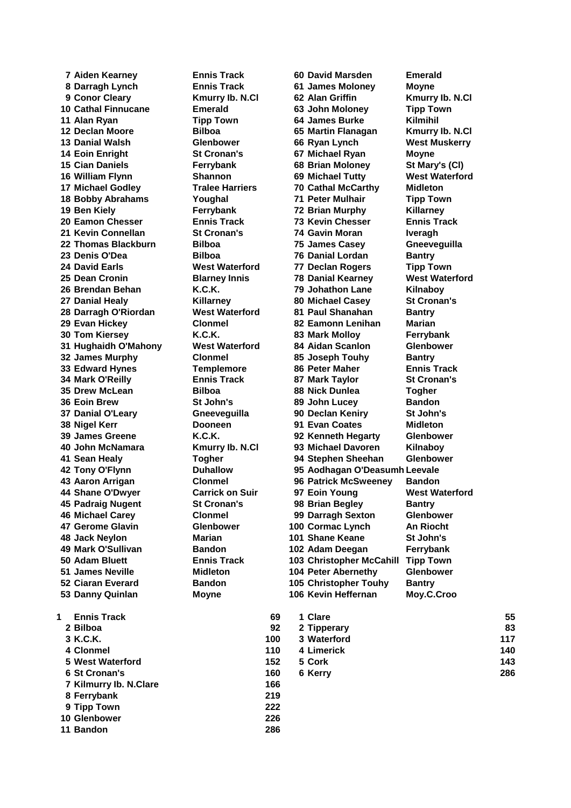**Darragh Lynch Ennis Track 61 James Moloney Moyne Conor Cleary Kmurry Ib. N.Cl 62 Alan Griffin Kmurry Ib. N.Cl** 10 Cathal Finnucane **Emerald 63 John Moloney** 11 Alan Ryan **Tipp Town 64 James Burke Declan Moore Bilboa 65 Martin Flanagan 13 Danial Walsh <b>Glenbower 66** Ryan Lynch **14 Eoin Enright St Cronan's 67 Michael Ryan** 15 Cian Daniels **Ferrybank 68** Brian Moloney William Flynn **Shannon 69** Michael Tutty **17 Michael Godley <b>Tralee Harriers 70 Cathal McCarthy**  Bobby Abrahams **Coughal Provides Townall Providence Townally Providence Townally Providence Townally Townally Providence Townally Providence Townally Providence Townally Providence Townally Providence Townally Provi 19 Ben Kiely Ferrybank 72 Brian Murphy Eamon Chesser Ennis Track 73 Kevin Chesser Ennis Track Kevin Connellan St Cronan's 74 Gavin Moran Iveragh 22 Thomas Blackburn Bilboa 75 James Casey Denis O'Dea Bilboa 76 Danial Lordan Bantry 24 David Earls West Waterford 77 Declan Rogers 25 Dean Cronin Blarney Innis 78 Danial Kearney Brendan Behan K.C.K. 79 Johathon Lane Danial Healy Killarney 80 Michael Casey St Cronan's Darragh O'Riordan West Waterford 81 Paul Shanahan Bantry Evan Hickey Clonmel 82 Eamonn Lenihan Marian Tom Kiersey K.C.K. 83 Mark Molloy Ferrybank Hughaidh O'Mahony West Waterford 84 Aidan Scanlon Glenbower James Murphy Clonmel 85 Joseph Touhy Bantry 33 Edward Hynes Templemore 86 Peter Maher Mark O'Reilly Ennis Track 87 Mark Taylor St Cronan's Drew McLean Bilboa 88 Nick Dunlea Togher Eoin Brew St John's 89 John Lucey 37 Danial O'Leary <b>Gneeveguilla 90 Declan Keniry 38 Nigel Kerr Dooneen 91 Evan Coates**  James Greene **K.C.K.** 92 Kenneth Hegarty **John McNamara Kmurry Ib. N.Cl 93 Michael Davoren Kilnaboy** Sean Healy **Togher 94** Stephen Sheehan **Aaron Arrigan Clonmel 96 Patrick McSweeney Bandon 44 Shane O'Dwyer Carrick on Suir** 97 Eoin Young **45 Padraig Nugent St Cronan's 98 Brian Begley Michael Carey Clonmel 99 Darragh Sexton Glenbower 47 Gerome Glavin Glenbower 100 Cormac Lynch Jack Neylon Marian 101 Shane Keane St John's Mark O'Sullivan Bandon 102 Adam Deegan Ferrybank James Neville Midleton 104 Peter Abernethy Glenbower Ciaran Everard Bandon 105 Christopher Touhy Bantry Danny Quinlan Moyne 106 Kevin Heffernan Moy.C.Croo**

 **Aiden Kearney Ennis Track 60 David Marsden Emerald Tony O'Flynn Duhallow 95 Aodhagan O'Deasumhnaigh Leevale Adam Bluett Ennis Track 103 Christopher McCahill Tipp Town**

| Moyne                 |
|-----------------------|
| Kmurry Ib. N.Cl       |
| <b>Tipp Town</b>      |
| <b>Kilmihil</b>       |
| Kmurry lb. N.Cl       |
| <b>West Muskerry</b>  |
| <b>Moyne</b>          |
|                       |
| St Mary's (CI)        |
| <b>West Waterford</b> |
| <b>Midleton</b>       |
| <b>Tipp Town</b>      |
| Killarney             |
| <b>Ennis Track</b>    |
| <b>Iveragh</b>        |
| Gneeveguilla          |
| <b>Bantry</b>         |
| <b>Tipp Town</b>      |
| <b>West Waterford</b> |
| Kilnaboy              |
| <b>St Cronan's</b>    |
| <b>Bantry</b>         |
| <b>Marian</b>         |
|                       |
| Ferrybank             |
| Glenbower             |
| <b>Bantry</b>         |
| <b>Ennis Track</b>    |
| <b>St Cronan's</b>    |
| <b>Togher</b>         |
| <b>Bandon</b>         |
| St John's             |
| <b>Midleton</b>       |
| Glenbower             |
| Kilnaboy              |
| Glenbower             |
| h Leevale             |
| <b>Bandon</b>         |
| <b>West Waterford</b> |
| <b>Bantry</b>         |
| Gle<br>nbov           |
| <b>An Riocht</b>      |
| St John's             |
|                       |
| <b>Ferrybank</b>      |
| Tipp Town             |
| Glenbower             |
| <b>Bantry</b>         |
| Moy.C.Croo            |
|                       |

| <b>Ennis Track</b> | 69                                                                                                                             | 1 Clare     | 55  |
|--------------------|--------------------------------------------------------------------------------------------------------------------------------|-------------|-----|
|                    | 92                                                                                                                             | 2 Tipperary | 83  |
|                    | 100                                                                                                                            | 3 Waterford | 117 |
|                    | 110                                                                                                                            | 4 Limerick  | 140 |
|                    | 152                                                                                                                            | 5 Cork      | 143 |
|                    | 160                                                                                                                            | 6 Kerry     | 286 |
|                    | 166                                                                                                                            |             |     |
|                    | 219                                                                                                                            |             |     |
|                    | 222                                                                                                                            |             |     |
|                    | 2 Bilboa<br>3 K.C.K.<br>4 Clonmel<br>5 West Waterford<br>6 St Cronan's<br>7 Kilmurry Ib. N.Clare<br>8 Ferrybank<br>9 Tipp Town |             |     |

 **Glenbower 226 Bandon 286**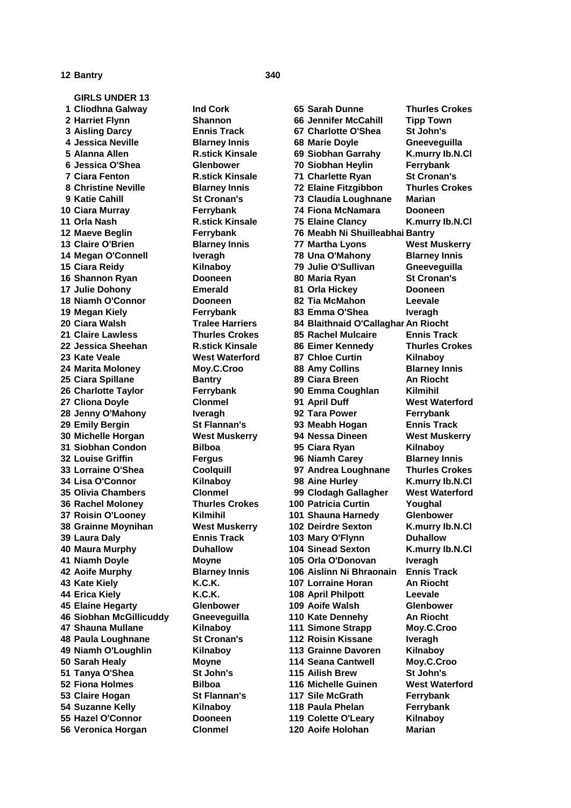## **Bantry 340**

**GIRLS UNDER 13 Cliodhna Galway Ind Cork 65 Sarah Dunne Thurles Crokes Veronica Horgan Clonmel 120 Aoife Holohan Marian**

 **Harriet Flynn Shannon 66 Jennifer McCahill Tipp Town Aisling Darcy Ennis Track 67 Charlotte O'Shea St John's Jessica Neville Blarney Innis 68 Marie Doyle Gneeveguilla Alanna Allen R.stick Kinsale 69 Siobhan Garrahy K.murry Ib.N.Cl Jessica O'Shea Glenbower 70 Siobhan Heylin Ferrybank Ciara Fenton R.stick Kinsale 71 Charlette Ryan St Cronan's Christine Neville Blarney Innis 72 Elaine Fitzgibbon Thurles Crokes Katie Cahill St Cronan's 73 Claudia Loughnane Marian Ciara Murray Ferrybank 74 Fiona McNamara Dooneen Orla Nash R.stick Kinsale 75 Elaine Clancy K.murry Ib.N.Cl Maeve Beglin Ferrybank 76 Meabh Ni ShuilleabhainBantry Claire O'Brien Blarney Innis 77 Martha Lyons West Muskerry Megan O'Connell Iveragh 78 Una O'Mahony Blarney Innis Ciara Reidy Kilnaboy 79 Julie O'Sullivan Gneeveguilla Shannon Ryan Dooneen 80 Maria Ryan St Cronan's Julie Dohony Emerald 81 Orla Hickey Dooneen Niamh O'Connor Dooneen 82 Tia McMahon Leevale Megan Kiely Ferrybank 83 Emma O'Shea Iveragh 20 Ciara Walsh Tralee Harriers 84 Blaithnaid O'Callaghar An Riocht Claire Lawless Thurles Crokes 85 Rachel Mulcaire Ennis Track Jessica Sheehan R.stick Kinsale 86 Eimer Kennedy Thurles Crokes Kate Veale West Waterford 87 Chloe Curtin Kilnaboy Marita Moloney Moy.C.Croo 88 Amy Collins Blarney Innis Ciara Spillane Bantry 89 Ciara Breen An Riocht Charlotte Taylor Ferrybank 90 Emma Coughlan Kilmihil Cliona Doyle Clonmel 91 April Duff West Waterford Jenny O'Mahony Iveragh 92 Tara Power Ferrybank Emily Bergin St Flannan's 93 Meabh Hogan Ennis Track Michelle Horgan West Muskerry 94 Nessa Dineen West Muskerry Siobhan Condon Bilboa 95 Ciara Ryan Kilnaboy Louise Griffin Fergus 96 Niamh Carey Blarney Innis Lorraine O'Shea Coolquill 97 Andrea Loughnane Thurles Crokes Lisa O'Connor Kilnaboy 98 Aine Hurley K.murry Ib.N.Cl Olivia Chambers Clonmel 99 Clodagh Gallagher West Waterford Rachel Moloney Thurles Crokes 100 Patricia Curtin Youghal Roisin O'Looney Kilmihil 101 Shauna Harnedy Glenbower Grainne Moynihan West Muskerry 102 Deirdre Sexton K.murry Ib.N.Cl Laura Daly Ennis Track 103 Mary O'Flynn Duhallow Maura Murphy Duhallow 104 Sinead Sexton K.murry Ib.N.Cl Niamh Doyle Moyne 105 Orla O'Donovan Iveragh Aoife Murphy Blarney Innis 106 Aislinn Ni Bhraonain Ennis Track Kate Kiely K.C.K. 107 Lorraine Horan An Riocht Erica Kiely K.C.K. 108 April Philpott Leevale Elaine Hegarty Glenbower 109 Aoife Walsh Glenbower Siobhan McGillicuddy Gneeveguilla 110 Kate Dennehy An Riocht Shauna Mullane Kilnaboy 111 Simone Strapp Moy.C.Croo Paula Loughnane St Cronan's 112 Roisin Kissane Iveragh Niamh O'Loughlin Kilnaboy 113 Grainne Davoren Kilnaboy Sarah Healy Moyne 114 Seana Cantwell Moy.C.Croo Tanya O'Shea St John's 115 Ailish Brew St John's Fiona Holmes Bilboa 116 Michelle Guinen West Waterford Claire Hogan St Flannan's 117 Sile McGrath Ferrybank Suzanne Kelly Kilnaboy 118 Paula Phelan Ferrybank Hazel O'Connor Dooneen 119 Colette O'Leary Kilnaboy**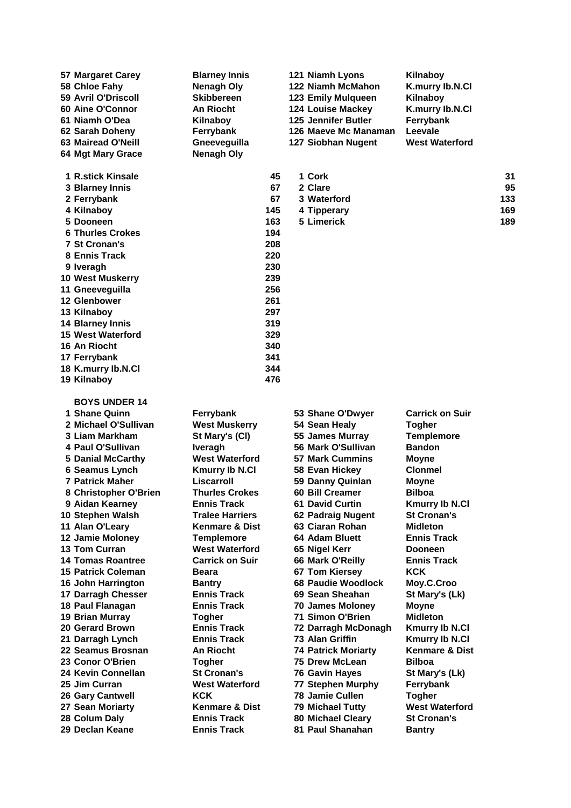| <b>57 Margaret Carey</b><br>58 Chloe Fahy             | <b>Blarney Innis</b><br><b>Nenagh Oly</b> |            | 121 Niamh Lyons<br>122 Niamh McMahon | Kilnaboy<br>K.murry lb.N.Cl      |     |
|-------------------------------------------------------|-------------------------------------------|------------|--------------------------------------|----------------------------------|-----|
| 59 Avril O'Driscoll                                   | <b>Skibbereen</b>                         |            | <b>123 Emily Mulqueen</b>            | Kilnaboy                         |     |
| 60 Aine O'Connor                                      | <b>An Riocht</b>                          |            | <b>124 Louise Mackey</b>             | K.murry lb.N.Cl                  |     |
| 61 Niamh O'Dea                                        | Kilnaboy                                  |            | 125 Jennifer Butler                  | Ferrybank                        |     |
| 62 Sarah Doheny                                       | Ferrybank                                 |            | 126 Maeve Mc Manaman                 | Leevale                          |     |
| 63 Mairead O'Neill                                    | Gneeveguilla                              |            | 127 Siobhan Nugent                   | <b>West Waterford</b>            |     |
| 64 Mgt Mary Grace                                     | <b>Nenagh Oly</b>                         |            |                                      |                                  |     |
| 1 R.stick Kinsale                                     |                                           | 45         | 1 Cork                               |                                  | 31  |
| 3 Blarney Innis                                       |                                           | 67         | 2 Clare                              |                                  | 95  |
| 2 Ferrybank                                           |                                           | 67         | 3 Waterford                          |                                  | 133 |
| 4 Kilnaboy                                            |                                           | 145        | 4 Tipperary                          |                                  | 169 |
| 5 Dooneen                                             |                                           | 163        | 5 Limerick                           |                                  | 189 |
| <b>6 Thurles Crokes</b>                               |                                           | 194        |                                      |                                  |     |
| <b>7 St Cronan's</b>                                  |                                           | 208        |                                      |                                  |     |
| 8 Ennis Track                                         |                                           | 220        |                                      |                                  |     |
| 9 Iveragh                                             |                                           | 230        |                                      |                                  |     |
| 10 West Muskerry                                      |                                           | 239        |                                      |                                  |     |
| 11 Gneeveguilla                                       |                                           | 256        |                                      |                                  |     |
| 12 Glenbower                                          |                                           | 261<br>297 |                                      |                                  |     |
| 13 Kilnaboy<br><b>14 Blarney Innis</b>                |                                           | 319        |                                      |                                  |     |
| <b>15 West Waterford</b>                              |                                           | 329        |                                      |                                  |     |
| 16 An Riocht                                          |                                           | 340        |                                      |                                  |     |
| 17 Ferrybank                                          |                                           | 341        |                                      |                                  |     |
| 18 K.murry lb.N.Cl                                    |                                           | 344        |                                      |                                  |     |
| 19 Kilnaboy                                           |                                           | 476        |                                      |                                  |     |
| <b>BOYS UNDER 14</b>                                  |                                           |            |                                      |                                  |     |
| 1 Shane Quinn                                         | Ferrybank                                 |            | 53 Shane O'Dwyer                     | <b>Carrick on Suir</b>           |     |
| 2 Michael O'Sullivan                                  | <b>West Muskerry</b>                      |            | 54 Sean Healy                        | <b>Togher</b>                    |     |
| 3 Liam Markham                                        | St Mary's (CI)                            |            | 55 James Murray                      | <b>Templemore</b>                |     |
| 4 Paul O'Sullivan                                     | <b>Iveragh</b>                            |            | 56 Mark O'Sullivan                   | <b>Bandon</b>                    |     |
| <b>5 Danial McCarthy</b>                              | <b>West Waterford</b>                     |            | <b>57 Mark Cummins</b>               | <b>Moyne</b>                     |     |
| 6 Seamus Lynch                                        | <b>Kmurry Ib N.Cl</b>                     |            | 58 Evan Hickey                       | <b>Clonmel</b>                   |     |
| <b>7 Patrick Maher</b>                                | Liscarroll                                |            | 59 Danny Quinlan                     | <b>Moyne</b>                     |     |
| 8 Christopher O'Brien                                 | <b>Thurles Crokes</b>                     |            | 60 Bill Creamer                      | <b>Bilboa</b>                    |     |
| 9 Aidan Kearney                                       | <b>Ennis Track</b>                        |            | <b>61 David Curtin</b>               | <b>Kmurry Ib N.Cl</b>            |     |
| 10 Stephen Walsh                                      | <b>Tralee Harriers</b>                    |            | 62 Padraig Nugent                    | <b>St Cronan's</b>               |     |
| 11 Alan O'Leary                                       | <b>Kenmare &amp; Dist</b>                 |            | 63 Ciaran Rohan                      | <b>Midleton</b>                  |     |
| 12 Jamie Moloney                                      | <b>Templemore</b>                         |            | 64 Adam Bluett                       | <b>Ennis Track</b>               |     |
| 13 Tom Curran                                         | <b>West Waterford</b>                     |            | 65 Nigel Kerr                        | <b>Dooneen</b>                   |     |
| <b>14 Tomas Roantree</b><br><b>15 Patrick Coleman</b> | <b>Carrick on Suir</b><br>Beara           |            | 66 Mark O'Reilly<br>67 Tom Kiersey   | <b>Ennis Track</b><br><b>KCK</b> |     |
| 16 John Harrington                                    | <b>Bantry</b>                             |            | 68 Paudie Woodlock                   | Moy.C.Croo                       |     |
| 17 Darragh Chesser                                    | <b>Ennis Track</b>                        |            | 69 Sean Sheahan                      | St Mary's (Lk)                   |     |
| 18 Paul Flanagan                                      | <b>Ennis Track</b>                        |            | <b>70 James Moloney</b>              | <b>Moyne</b>                     |     |
| 19 Brian Murray                                       | <b>Togher</b>                             |            | 71 Simon O'Brien                     | <b>Midleton</b>                  |     |
| 20 Gerard Brown                                       | <b>Ennis Track</b>                        |            | 72 Darragh McDonagh                  | Kmurry Ib N.Cl                   |     |
| 21 Darragh Lynch                                      | <b>Ennis Track</b>                        |            | 73 Alan Griffin                      | <b>Kmurry Ib N.Cl</b>            |     |
| 22 Seamus Brosnan                                     | <b>An Riocht</b>                          |            | <b>74 Patrick Moriarty</b>           | Kenmare & Dist                   |     |
| 23 Conor O'Brien                                      | <b>Togher</b>                             |            | 75 Drew McLean                       | <b>Bilboa</b>                    |     |
| 24 Kevin Connellan                                    | <b>St Cronan's</b>                        |            | 76 Gavin Hayes                       | St Mary's (Lk)                   |     |
| 25 Jim Curran                                         | <b>West Waterford</b>                     |            | <b>77 Stephen Murphy</b>             | Ferrybank                        |     |
| 26 Gary Cantwell                                      | <b>KCK</b>                                |            | <b>78 Jamie Cullen</b>               | <b>Togher</b>                    |     |
| 27 Sean Moriarty                                      | <b>Kenmare &amp; Dist</b>                 |            | 79 Michael Tutty                     | <b>West Waterford</b>            |     |
| 28 Colum Daly                                         | <b>Ennis Track</b>                        |            | 80 Michael Cleary                    | <b>St Cronan's</b>               |     |
| 29 Declan Keane                                       | <b>Ennis Track</b>                        |            | 81 Paul Shanahan                     | <b>Bantry</b>                    |     |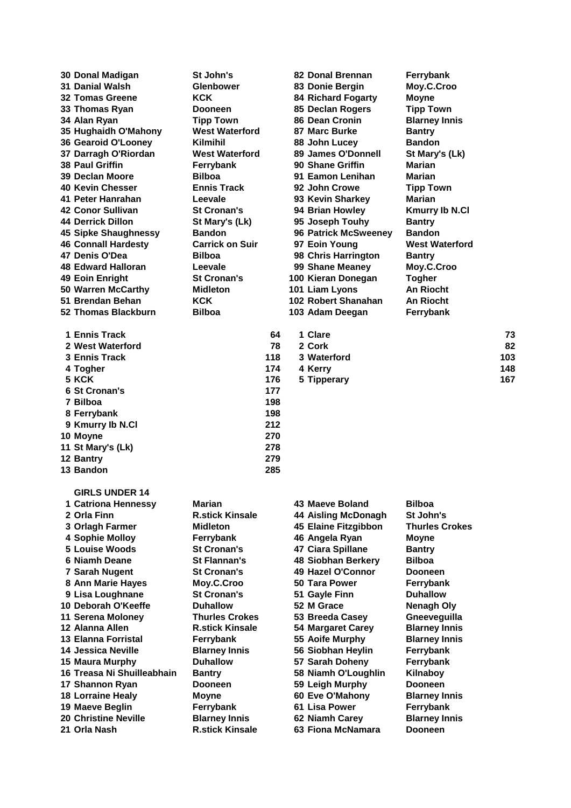**Donal Madigan St John's 82 Donal Brennan Ferrybank Danial Walsh Glenbower 83 Donie Bergin Moy.C.Croo**

| 1 Ennis Track     | 64  |
|-------------------|-----|
| 2 West Waterford  | 78  |
| 3 Ennis Track     | 118 |
| 4 Togher          | 174 |
| 5 KCK             | 176 |
| 6 St Cronan's     | 177 |
| 7 Bilboa          | 198 |
| 8 Ferrybank       | 198 |
| 9 Kmurry Ib N.Cl  | 212 |
| 10 Moyne          | 270 |
| 11 St Mary's (Lk) | 278 |
| 12 Bantry         | 279 |
| 13 Bandon         | 285 |

**GIRLS UNDER 14**

 **Tomas Greene KCK 84 Richard Fogarty Moyne Thomas Ryan Dooneen 85 Declan Rogers Tipp Town Alan Ryan Tipp Town 86 Dean Cronin Blarney Innis Hughaidh O'Mahony West Waterford 87 Marc Burke Bantry Gearoid O'Looney Kilmihil 88 John Lucey Bandon Darragh O'Riordan West Waterford 89 James O'Donnell St Mary's (Lk) Paul Griffin Ferrybank 90 Shane Griffin Marian Declan Moore Bilboa 91 Eamon Lenihan Marian Kevin Chesser Ennis Track 92 John Crowe Tipp Town Peter Hanrahan Leevale 93 Kevin Sharkey Marian Conor Sullivan St Cronan's 94 Brian Howley Kmurry Ib N.Cl Derrick Dillon St Mary's (Lk) 95 Joseph Touhy Bantry Sipke Shaughnessy Bandon 96 Patrick McSweeney Bandon Connall Hardesty Carrick on Suir 97 Eoin Young West Waterford Denis O'Dea Bilboa 98 Chris Harrington Bantry Edward Halloran Leevale 99 Shane Meaney Moy.C.Croo Eoin Enright St Cronan's 100 Kieran Donegan Togher Warren McCarthy Midleton 101 Liam Lyons An Riocht Brendan Behan KCK 102 Robert Shanahan An Riocht Thomas Blackburn Bilboa 103 Adam Deegan Ferrybank**

| 1 Ennis Track    | 64   | 1 Clare     | 73  |
|------------------|------|-------------|-----|
| 2 West Waterford | 78   | 2 Cork      | 82  |
| 3 Ennis Track    | 118  | 3 Waterford | 103 |
| 4 Togher         | 174  | 4 Kerrv     | 148 |
| 5 KCK            | 176  | 5 Tipperary | 167 |
| - - -            | $ -$ |             |     |

| 1 Catriona Hennessy         | Marian                 | 43 Maeve Boland            | <b>Bilboa</b>        |
|-----------------------------|------------------------|----------------------------|----------------------|
| 2 Orla Finn                 | <b>R.stick Kinsale</b> | <b>44 Aisling McDonagh</b> | St John's            |
| 3 Orlagh Farmer             | <b>Midleton</b>        | 45 Elaine Fitzgibbon       | <b>Thurles Crok</b>  |
| <b>4 Sophie Molloy</b>      | Ferrybank              | 46 Angela Ryan             | Moyne                |
| 5 Louise Woods              | <b>St Cronan's</b>     | 47 Ciara Spillane          | <b>Bantry</b>        |
| 6 Niamh Deane               | <b>St Flannan's</b>    | 48 Siobhan Berkery         | <b>Bilboa</b>        |
| 7 Sarah Nugent              | <b>St Cronan's</b>     | 49 Hazel O'Connor          | <b>Dooneen</b>       |
| 8 Ann Marie Hayes           | Moy.C.Croo             | 50 Tara Power              | Ferrybank            |
| 9 Lisa Loughnane            | <b>St Cronan's</b>     | 51 Gayle Finn              | <b>Duhallow</b>      |
| 10 Deborah O'Keeffe         | <b>Duhallow</b>        | 52 M Grace                 | Nenagh Oly           |
| 11 Serena Moloney           | <b>Thurles Crokes</b>  | 53 Breeda Casey            | Gneeveguilla         |
| 12 Alanna Allen             | <b>R.stick Kinsale</b> | 54 Margaret Carey          | <b>Blarney Innis</b> |
| <b>13 Elanna Forristal</b>  | Ferrybank              | 55 Aoife Murphy            | <b>Blarney Innis</b> |
| 14 Jessica Neville          | <b>Blarney Innis</b>   | 56 Siobhan Heylin          | Ferrybank            |
| 15 Maura Murphy             | <b>Duhallow</b>        | 57 Sarah Doheny            | Ferrybank            |
| 16 Treasa Ni Shuilleabhain  | <b>Bantry</b>          | 58 Niamh O'Loughlin        | Kilnaboy             |
| 17 Shannon Ryan             | <b>Dooneen</b>         | 59 Leigh Murphy            | <b>Dooneen</b>       |
| <b>18 Lorraine Healy</b>    | Moyne                  | 60 Eve O'Mahony            | <b>Blarney Innis</b> |
| 19 Maeve Beglin             | Ferrybank              | 61 Lisa Power              | Ferrybank            |
| <b>20 Christine Neville</b> | <b>Blarney Innis</b>   | 62 Niamh Carey             | <b>Blarney Innis</b> |
| 21 Orla Nash                | <b>R.stick Kinsale</b> | 63 Fiona McNamara          | <b>Dooneen</b>       |

| <b>Bilboa</b>         |  |
|-----------------------|--|
| St John's             |  |
| <b>Thurles Crokes</b> |  |
| Moyne                 |  |
| <b>Bantry</b>         |  |
| Bilboa                |  |
| Dooneen               |  |
| Ferrybank             |  |
| <b>Duhallow</b>       |  |
| Nenagh Oly            |  |
| Gneeveguilla          |  |
| <b>Blarney Innis</b>  |  |
| <b>Blarney Innis</b>  |  |
| Ferrybank             |  |
| Ferrybank             |  |
| Kilnaboy              |  |
| Dooneen               |  |
| <b>Blarney Innis</b>  |  |
| Ferrybank             |  |
| <b>Blarney Innis</b>  |  |
| Dooneen               |  |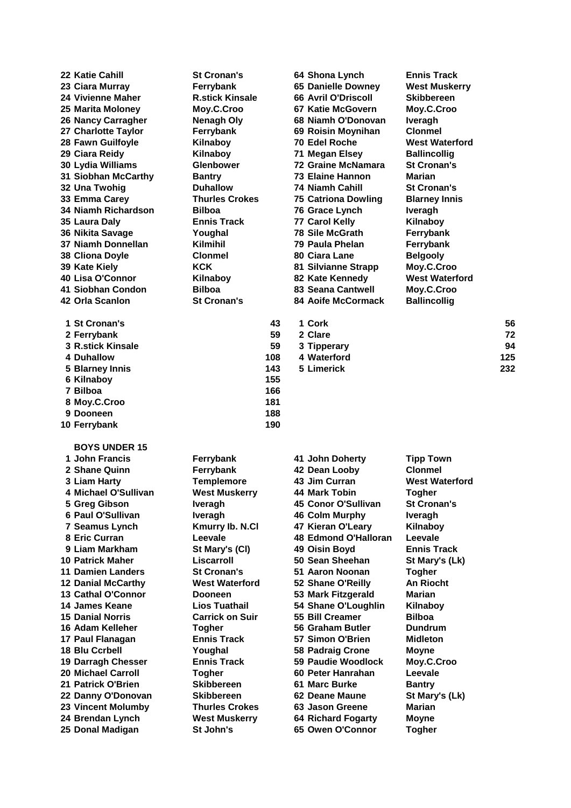| 22 Katie Cahill<br>23 Ciara Murray<br><b>24 Vivienne Maher</b><br>25 Marita Moloney<br>26 Nancy Carragher<br>27 Charlotte Taylor<br>28 Fawn Guilfoyle<br>29 Ciara Reidy<br>30 Lydia Williams<br>31 Siobhan McCarthy<br>32 Una Twohig<br>33 Emma Carey<br>34 Niamh Richardson<br>35 Laura Daly<br>36 Nikita Savage<br>37 Niamh Donnellan<br>38 Cliona Doyle<br>39 Kate Kiely<br>40 Lisa O'Connor<br>41 Siobhan Condon<br>42 Orla Scanlon<br>1 St Cronan's | <b>St Cronan's</b><br>Ferrybank<br><b>R.stick Kinsale</b><br>Moy.C.Croo<br><b>Nenagh Oly</b><br>Ferrybank<br>Kilnaboy<br>Kilnaboy<br><b>Glenbower</b><br><b>Bantry</b><br><b>Duhallow</b><br><b>Thurles Crokes</b><br><b>Bilboa</b><br><b>Ennis Track</b><br>Youghal<br>Kilmihil<br>Clonmel<br><b>KCK</b><br>Kilnaboy<br><b>Bilboa</b><br><b>St Cronan's</b> | 43         | 64 Shona Lynch<br><b>65 Danielle Downey</b><br><b>66 Avril O'Driscoll</b><br>67 Katie McGovern<br>68 Niamh O'Donovan<br>69 Roisin Moynihan<br><b>70 Edel Roche</b><br>71 Megan Elsey<br><b>72 Graine McNamara</b><br>73 Elaine Hannon<br>74 Niamh Cahill<br><b>75 Catriona Dowling</b><br>76 Grace Lynch<br>77 Carol Kelly<br><b>78 Sile McGrath</b><br>79 Paula Phelan<br>80 Ciara Lane<br>81 Silvianne Strapp<br>82 Kate Kennedy<br>83 Seana Cantwell<br><b>84 Aoife McCormack</b><br>1 Cork | <b>Ennis Track</b><br><b>West Muskerry</b><br><b>Skibbereen</b><br>Moy.C.Croo<br><b>Iveragh</b><br><b>Clonmel</b><br><b>West Waterford</b><br><b>Ballincollig</b><br><b>St Cronan's</b><br>Marian<br><b>St Cronan's</b><br><b>Blarney Innis</b><br><b>Iveragh</b><br>Kilnaboy<br>Ferrybank<br>Ferrybank<br><b>Belgooly</b><br>Moy.C.Croo<br><b>West Waterford</b><br>Moy.C.Croo<br><b>Ballincollig</b> | 56  |
|----------------------------------------------------------------------------------------------------------------------------------------------------------------------------------------------------------------------------------------------------------------------------------------------------------------------------------------------------------------------------------------------------------------------------------------------------------|--------------------------------------------------------------------------------------------------------------------------------------------------------------------------------------------------------------------------------------------------------------------------------------------------------------------------------------------------------------|------------|------------------------------------------------------------------------------------------------------------------------------------------------------------------------------------------------------------------------------------------------------------------------------------------------------------------------------------------------------------------------------------------------------------------------------------------------------------------------------------------------|--------------------------------------------------------------------------------------------------------------------------------------------------------------------------------------------------------------------------------------------------------------------------------------------------------------------------------------------------------------------------------------------------------|-----|
| 2 Ferrybank                                                                                                                                                                                                                                                                                                                                                                                                                                              |                                                                                                                                                                                                                                                                                                                                                              | 59         | 2 Clare                                                                                                                                                                                                                                                                                                                                                                                                                                                                                        |                                                                                                                                                                                                                                                                                                                                                                                                        | 72  |
| <b>3 R.stick Kinsale</b>                                                                                                                                                                                                                                                                                                                                                                                                                                 |                                                                                                                                                                                                                                                                                                                                                              | 59         | 3 Tipperary                                                                                                                                                                                                                                                                                                                                                                                                                                                                                    |                                                                                                                                                                                                                                                                                                                                                                                                        | 94  |
| 4 Duhallow                                                                                                                                                                                                                                                                                                                                                                                                                                               |                                                                                                                                                                                                                                                                                                                                                              | 108        | 4 Waterford                                                                                                                                                                                                                                                                                                                                                                                                                                                                                    |                                                                                                                                                                                                                                                                                                                                                                                                        | 125 |
| 5 Blarney Innis                                                                                                                                                                                                                                                                                                                                                                                                                                          |                                                                                                                                                                                                                                                                                                                                                              | 143        | 5 Limerick                                                                                                                                                                                                                                                                                                                                                                                                                                                                                     |                                                                                                                                                                                                                                                                                                                                                                                                        | 232 |
| 6 Kilnaboy<br>7 Bilboa                                                                                                                                                                                                                                                                                                                                                                                                                                   |                                                                                                                                                                                                                                                                                                                                                              | 155<br>166 |                                                                                                                                                                                                                                                                                                                                                                                                                                                                                                |                                                                                                                                                                                                                                                                                                                                                                                                        |     |
| 8 Moy.C.Croo                                                                                                                                                                                                                                                                                                                                                                                                                                             |                                                                                                                                                                                                                                                                                                                                                              | 181        |                                                                                                                                                                                                                                                                                                                                                                                                                                                                                                |                                                                                                                                                                                                                                                                                                                                                                                                        |     |
| 9 Dooneen                                                                                                                                                                                                                                                                                                                                                                                                                                                |                                                                                                                                                                                                                                                                                                                                                              | 188        |                                                                                                                                                                                                                                                                                                                                                                                                                                                                                                |                                                                                                                                                                                                                                                                                                                                                                                                        |     |
| 10 Ferrybank                                                                                                                                                                                                                                                                                                                                                                                                                                             |                                                                                                                                                                                                                                                                                                                                                              | 190        |                                                                                                                                                                                                                                                                                                                                                                                                                                                                                                |                                                                                                                                                                                                                                                                                                                                                                                                        |     |
| <b>BOYS UNDER 15</b>                                                                                                                                                                                                                                                                                                                                                                                                                                     |                                                                                                                                                                                                                                                                                                                                                              |            |                                                                                                                                                                                                                                                                                                                                                                                                                                                                                                |                                                                                                                                                                                                                                                                                                                                                                                                        |     |
| 1 John Francis                                                                                                                                                                                                                                                                                                                                                                                                                                           | Ferrybank                                                                                                                                                                                                                                                                                                                                                    |            | 41 John Doherty                                                                                                                                                                                                                                                                                                                                                                                                                                                                                | <b>Tipp Town</b>                                                                                                                                                                                                                                                                                                                                                                                       |     |
| 2 Shane Quinn                                                                                                                                                                                                                                                                                                                                                                                                                                            | Ferrybank                                                                                                                                                                                                                                                                                                                                                    |            | 42 Dean Looby                                                                                                                                                                                                                                                                                                                                                                                                                                                                                  | <b>Clonmel</b>                                                                                                                                                                                                                                                                                                                                                                                         |     |
| 3 Liam Harty                                                                                                                                                                                                                                                                                                                                                                                                                                             | <b>Templemore</b>                                                                                                                                                                                                                                                                                                                                            |            | 43 Jim Curran                                                                                                                                                                                                                                                                                                                                                                                                                                                                                  | <b>West Waterford</b>                                                                                                                                                                                                                                                                                                                                                                                  |     |
| 4 Michael O'Sullivan                                                                                                                                                                                                                                                                                                                                                                                                                                     | <b>West Muskerry</b>                                                                                                                                                                                                                                                                                                                                         |            | 44 Mark Tobin                                                                                                                                                                                                                                                                                                                                                                                                                                                                                  | <b>Togher</b>                                                                                                                                                                                                                                                                                                                                                                                          |     |
| 5 Greg Gibson                                                                                                                                                                                                                                                                                                                                                                                                                                            | Iveragh                                                                                                                                                                                                                                                                                                                                                      |            | 45 Conor O'Sullivan                                                                                                                                                                                                                                                                                                                                                                                                                                                                            | <b>St Cronan's</b>                                                                                                                                                                                                                                                                                                                                                                                     |     |
| 6 Paul O'Sullivan<br>7 Seamus Lynch                                                                                                                                                                                                                                                                                                                                                                                                                      | Iveragh<br>Kmurry lb. N.Cl                                                                                                                                                                                                                                                                                                                                   |            | 46 Colm Murphy<br>47 Kieran O'Leary                                                                                                                                                                                                                                                                                                                                                                                                                                                            | Iveragh<br>Kilnaboy                                                                                                                                                                                                                                                                                                                                                                                    |     |
| 8 Eric Curran                                                                                                                                                                                                                                                                                                                                                                                                                                            | Leevale                                                                                                                                                                                                                                                                                                                                                      |            | <b>48 Edmond O'Halloran</b>                                                                                                                                                                                                                                                                                                                                                                                                                                                                    | Leevale                                                                                                                                                                                                                                                                                                                                                                                                |     |
| 9 Liam Markham                                                                                                                                                                                                                                                                                                                                                                                                                                           | St Mary's (CI)                                                                                                                                                                                                                                                                                                                                               |            | 49 Oisin Boyd                                                                                                                                                                                                                                                                                                                                                                                                                                                                                  | <b>Ennis Track</b>                                                                                                                                                                                                                                                                                                                                                                                     |     |
| <b>10 Patrick Maher</b>                                                                                                                                                                                                                                                                                                                                                                                                                                  | Liscarroll                                                                                                                                                                                                                                                                                                                                                   |            | 50 Sean Sheehan                                                                                                                                                                                                                                                                                                                                                                                                                                                                                | St Mary's (Lk)                                                                                                                                                                                                                                                                                                                                                                                         |     |
| <b>11 Damien Landers</b>                                                                                                                                                                                                                                                                                                                                                                                                                                 | <b>St Cronan's</b>                                                                                                                                                                                                                                                                                                                                           |            | 51 Aaron Noonan                                                                                                                                                                                                                                                                                                                                                                                                                                                                                | <b>Togher</b>                                                                                                                                                                                                                                                                                                                                                                                          |     |
| <b>12 Danial McCarthy</b>                                                                                                                                                                                                                                                                                                                                                                                                                                | <b>West Waterford</b>                                                                                                                                                                                                                                                                                                                                        |            | 52 Shane O'Reilly                                                                                                                                                                                                                                                                                                                                                                                                                                                                              | <b>An Riocht</b>                                                                                                                                                                                                                                                                                                                                                                                       |     |
| 13 Cathal O'Connor<br>14 James Keane                                                                                                                                                                                                                                                                                                                                                                                                                     | <b>Dooneen</b>                                                                                                                                                                                                                                                                                                                                               |            | 53 Mark Fitzgerald                                                                                                                                                                                                                                                                                                                                                                                                                                                                             | Marian                                                                                                                                                                                                                                                                                                                                                                                                 |     |
| <b>15 Danial Norris</b>                                                                                                                                                                                                                                                                                                                                                                                                                                  | <b>Lios Tuathail</b><br><b>Carrick on Suir</b>                                                                                                                                                                                                                                                                                                               |            | 54 Shane O'Loughlin<br>55 Bill Creamer                                                                                                                                                                                                                                                                                                                                                                                                                                                         | Kilnaboy<br><b>Bilboa</b>                                                                                                                                                                                                                                                                                                                                                                              |     |
| 16 Adam Kelleher                                                                                                                                                                                                                                                                                                                                                                                                                                         | <b>Togher</b>                                                                                                                                                                                                                                                                                                                                                |            | 56 Graham Butler                                                                                                                                                                                                                                                                                                                                                                                                                                                                               | <b>Dundrum</b>                                                                                                                                                                                                                                                                                                                                                                                         |     |
| 17 Paul Flanagan                                                                                                                                                                                                                                                                                                                                                                                                                                         | <b>Ennis Track</b>                                                                                                                                                                                                                                                                                                                                           |            | 57 Simon O'Brien                                                                                                                                                                                                                                                                                                                                                                                                                                                                               | Midleton                                                                                                                                                                                                                                                                                                                                                                                               |     |
| <b>18 Blu Ccrbell</b>                                                                                                                                                                                                                                                                                                                                                                                                                                    | Youghal                                                                                                                                                                                                                                                                                                                                                      |            | 58 Padraig Crone                                                                                                                                                                                                                                                                                                                                                                                                                                                                               | <b>Moyne</b>                                                                                                                                                                                                                                                                                                                                                                                           |     |
| 19 Darragh Chesser                                                                                                                                                                                                                                                                                                                                                                                                                                       | <b>Ennis Track</b>                                                                                                                                                                                                                                                                                                                                           |            | 59 Paudie Woodlock                                                                                                                                                                                                                                                                                                                                                                                                                                                                             | Moy.C.Croo                                                                                                                                                                                                                                                                                                                                                                                             |     |
| <b>20 Michael Carroll</b>                                                                                                                                                                                                                                                                                                                                                                                                                                | Togher                                                                                                                                                                                                                                                                                                                                                       |            | 60 Peter Hanrahan                                                                                                                                                                                                                                                                                                                                                                                                                                                                              | Leevale                                                                                                                                                                                                                                                                                                                                                                                                |     |
| 21 Patrick O'Brien                                                                                                                                                                                                                                                                                                                                                                                                                                       | <b>Skibbereen</b>                                                                                                                                                                                                                                                                                                                                            |            | 61 Marc Burke<br>62 Deane Maune                                                                                                                                                                                                                                                                                                                                                                                                                                                                | <b>Bantry</b>                                                                                                                                                                                                                                                                                                                                                                                          |     |
| 22 Danny O'Donovan<br>23 Vincent Molumby                                                                                                                                                                                                                                                                                                                                                                                                                 | Skibbereen<br><b>Thurles Crokes</b>                                                                                                                                                                                                                                                                                                                          |            | 63 Jason Greene                                                                                                                                                                                                                                                                                                                                                                                                                                                                                | St Mary's (Lk)<br>Marian                                                                                                                                                                                                                                                                                                                                                                               |     |
| 24 Brendan Lynch                                                                                                                                                                                                                                                                                                                                                                                                                                         | <b>West Muskerry</b>                                                                                                                                                                                                                                                                                                                                         |            | <b>64 Richard Fogarty</b>                                                                                                                                                                                                                                                                                                                                                                                                                                                                      | <b>Moyne</b>                                                                                                                                                                                                                                                                                                                                                                                           |     |
| 25 Donal Madigan                                                                                                                                                                                                                                                                                                                                                                                                                                         | St John's                                                                                                                                                                                                                                                                                                                                                    |            | 65 Owen O'Connor                                                                                                                                                                                                                                                                                                                                                                                                                                                                               | <b>Togher</b>                                                                                                                                                                                                                                                                                                                                                                                          |     |
|                                                                                                                                                                                                                                                                                                                                                                                                                                                          |                                                                                                                                                                                                                                                                                                                                                              |            |                                                                                                                                                                                                                                                                                                                                                                                                                                                                                                |                                                                                                                                                                                                                                                                                                                                                                                                        |     |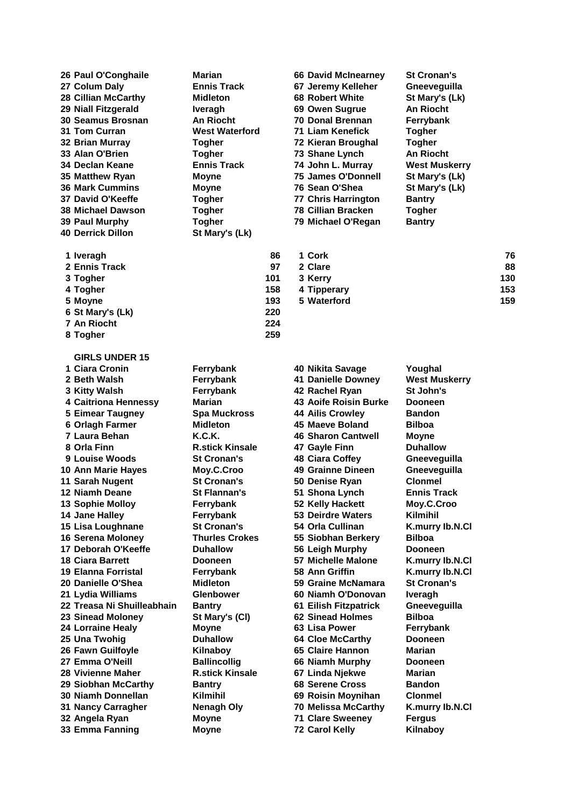| 26 Paul O'Conghaile        | Marian              |
|----------------------------|---------------------|
| 27 Colum Daly              | <b>Ennis Track</b>  |
| <b>28 Cillian McCarthy</b> | Midleton            |
| 29 Niall Fitzgerald        | <b>Iveragh</b>      |
| 30 Seamus Brosnan          | <b>An Riocht</b>    |
| 31 Tom Curran              | <b>West Waterfo</b> |
| 32 Brian Murray            | Togher              |
| 33 Alan O'Brien            | <b>Togher</b>       |
| 34 Declan Keane            | <b>Ennis Track</b>  |
| 35 Matthew Ryan            | Moyne               |
| <b>36 Mark Cummins</b>     | Moyne               |
| 37 David O'Keeffe          | <b>Togher</b>       |
| <b>38 Michael Dawson</b>   | <b>Togher</b>       |
| 39 Paul Murphy             | <b>Togher</b>       |
| <b>40 Derrick Dillon</b>   | St Mary's (Lk)      |
| 1 Iveragh                  |                     |
| 2 Ennis Track              |                     |
|                            |                     |

| <b>Marian</b>         | <b>66 David McInearney</b> | <b>St Cronan's</b> |
|-----------------------|----------------------------|--------------------|
| <b>Ennis Track</b>    | 67 Jeremy Kelleher         | Gneevequill        |
| <b>Midleton</b>       | 68 Robert White            | St Mary's (L       |
| <b>Iveragh</b>        | 69 Owen Sugrue             | <b>An Riocht</b>   |
| <b>An Riocht</b>      | <b>70 Donal Brennan</b>    | Ferrybank          |
| <b>West Waterford</b> | 71 Liam Kenefick           | <b>Togher</b>      |
| <b>Togher</b>         | 72 Kieran Broughal         | <b>Togher</b>      |
| <b>Togher</b>         | 73 Shane Lynch             | <b>An Riocht</b>   |
| <b>Ennis Track</b>    | 74 John L. Murray          | <b>West Muske</b>  |
| <b>Moyne</b>          | <b>75 James O'Donnell</b>  | St Mary's (L       |
| <b>Moyne</b>          | 76 Sean O'Shea             | St Mary's (L       |
| <b>Togher</b>         | <b>77 Chris Harrington</b> | <b>Bantry</b>      |
| <b>Togher</b>         | <b>78 Cillian Bracken</b>  | <b>Togher</b>      |
| <b>Togher</b>         | 79 Michael O'Regan         | <b>Bantry</b>      |
| St Mary's (Lk)        |                            |                    |
|                       |                            |                    |

| 29 Niall Fitzgerald      | <b>Iveragh</b>        | 69 Owen Sugrue             | <b>An Riocht</b>     |    |
|--------------------------|-----------------------|----------------------------|----------------------|----|
| 30 Seamus Brosnan        | <b>An Riocht</b>      | <b>70 Donal Brennan</b>    | Ferrybank            |    |
| 31 Tom Curran            | <b>West Waterford</b> | 71 Liam Kenefick           | <b>Togher</b>        |    |
| 32 Brian Murray          | <b>Togher</b>         | 72 Kieran Broughal         | <b>Togher</b>        |    |
| 33 Alan O'Brien          | <b>Togher</b>         | 73 Shane Lynch             | <b>An Riocht</b>     |    |
| 34 Declan Keane          | <b>Ennis Track</b>    | 74 John L. Murray          | <b>West Muskerry</b> |    |
| 35 Matthew Ryan          | <b>Moyne</b>          | 75 James O'Donnell         | St Mary's (Lk)       |    |
| 36 Mark Cummins          | <b>Moyne</b>          | 76 Sean O'Shea             | St Mary's (Lk)       |    |
| 37 David O'Keeffe        | <b>Togher</b>         | <b>77 Chris Harrington</b> | <b>Bantry</b>        |    |
| 38 Michael Dawson        | <b>Togher</b>         | <b>78 Cillian Bracken</b>  | <b>Togher</b>        |    |
| 39 Paul Murphy           | <b>Togher</b>         | 79 Michael O'Regan         | <b>Bantry</b>        |    |
| <b>40 Derrick Dillon</b> | St Mary's (Lk)        |                            |                      |    |
| 1 Iveragh                |                       | 1 Cork<br>86               |                      | 76 |

| $\sim$ | .           | . . |
|--------|-------------|-----|
| 97     | 2 Clare     | 88  |
| 101    | 3 Kerry     | 130 |
| 158    | 4 Tipperary | 153 |
| 193    | 5 Waterford | 159 |
|        |             |     |

| 1 Ciara Cronin            | Ferrybank              | 40 Nikita Savage             | Youghal              |
|---------------------------|------------------------|------------------------------|----------------------|
| 2 Beth Walsh              | Ferrybank              | <b>41 Danielle Downey</b>    | <b>West Muskerry</b> |
| 3 Kitty Walsh             | Ferrybank              | 42 Rachel Ryan               | St John's            |
| 4 Caitriona Hennessy      | <b>Marian</b>          | <b>43 Aoife Roisin Burke</b> | <b>Dooneen</b>       |
| 5 Eimear Taugney          | <b>Spa Muckross</b>    | <b>44 Ailis Crowley</b>      | <b>Bandon</b>        |
| 6 Orlagh Farmer           | <b>Midleton</b>        | 45 Maeve Boland              | <b>Bilboa</b>        |
| 7 Laura Behan             | K.C.K.                 | <b>46 Sharon Cantwell</b>    | <b>Moyne</b>         |
| 8 Orla Finn               | <b>R.stick Kinsale</b> | 47 Gayle Finn                | <b>Duhallow</b>      |
| 9 Louise Woods            | <b>St Cronan's</b>     | 48 Ciara Coffey              | Gneevequilla         |
| 0 Ann Marie Hayes         | Moy.C.Croo             | 49 Grainne Dineen            | Gneeveguilla         |
| 1 Sarah Nugent            | <b>St Cronan's</b>     | 50 Denise Ryan               | <b>Clonmel</b>       |
| 2 Niamh Deane             | <b>St Flannan's</b>    | 51 Shona Lynch               | <b>Ennis Track</b>   |
| 3 Sophie Molloy           | Ferrybank              | 52 Kelly Hackett             | Moy.C.Croo           |
| 4 Jane Halley             | Ferrybank              | 53 Deirdre Waters            | Kilmihil             |
| 5 Lisa Loughnane          | <b>St Cronan's</b>     | 54 Orla Cullinan             | K.murry lb.N.Cl      |
| 6 Serena Moloney          | <b>Thurles Crokes</b>  | 55 Siobhan Berkery           | <b>Bilboa</b>        |
| 7 Deborah O'Keeffe        | <b>Duhallow</b>        | 56 Leigh Murphy              | <b>Dooneen</b>       |
| 8 Ciara Barrett           | <b>Dooneen</b>         | 57 Michelle Malone           | K.murry lb.N.Cl      |
| 9 Elanna Forristal        | Ferrybank              | 58 Ann Griffin               | K.murry lb.N.Cl      |
| <b>0 Danielle O'Shea</b>  | <b>Midleton</b>        | 59 Graine McNamara           | <b>St Cronan's</b>   |
| 1 Lydia Williams          | <b>Glenbower</b>       | 60 Niamh O'Donovan           | Iveragh              |
| 2 Treasa Ni Shuilleabhain | <b>Bantry</b>          | 61 Eilish Fitzpatrick        | Gneeveguilla         |
| <b>3 Sinead Moloney</b>   | St Mary's (CI)         | 62 Sinead Holmes             | <b>Bilboa</b>        |
| 4 Lorraine Healy          | <b>Moyne</b>           | 63 Lisa Power                | Ferrybank            |
| <b>5 Una Twohig</b>       | <b>Duhallow</b>        | <b>64 Cloe McCarthy</b>      | <b>Dooneen</b>       |
| <b>6 Fawn Guilfoyle</b>   | Kilnaboy               | 65 Claire Hannon             | Marian               |
| 7 Emma O'Neill            | <b>Ballincollig</b>    | 66 Niamh Murphy              | <b>Dooneen</b>       |
| <b>8 Vivienne Maher</b>   | <b>R.stick Kinsale</b> | 67 Linda Njekwe              | Marian               |
| <b>9 Siobhan McCarthy</b> | <b>Bantry</b>          | <b>68 Serene Cross</b>       | <b>Bandon</b>        |
| 0 Niamh Donnellan         | <b>Kilmihil</b>        | 69 Roisin Moynihan           | <b>Clonmel</b>       |
| 1 Nancy Carragher         | <b>Nenagh Oly</b>      | <b>70 Melissa McCarthy</b>   | K.murry lb.N.Cl      |
| 2 Angela Ryan             | <b>Moyne</b>           | <b>71 Clare Sweeney</b>      | <b>Fergus</b>        |
| 33 Emma Fanning           | <b>Moyne</b>           | <b>72 Carol Kelly</b>        | Kilnaboy             |

**GIRLS UNDER 15**

|                         |                             | . v. . ,               | THINN YWTHY                  | .                 |
|-------------------------|-----------------------------|------------------------|------------------------------|-------------------|
| 2 Beth Walsh            |                             | Ferrybank              | <b>41 Danielle Downey</b>    | <b>West Mus</b>   |
| 3 Kitty Walsh           |                             | Ferrybank              | 42 Rachel Ryan               | <b>St John's</b>  |
|                         | <b>4 Caitriona Hennessy</b> | <b>Marian</b>          | <b>43 Aoife Roisin Burke</b> | <b>Dooneen</b>    |
|                         | <b>5 Eimear Taugney</b>     | <b>Spa Muckross</b>    | <b>44 Ailis Crowlev</b>      | <b>Bandon</b>     |
|                         | 6 Orlagh Farmer             | <b>Midleton</b>        | 45 Maeve Boland              | <b>Bilboa</b>     |
| 7 Laura Behan           |                             | K.C.K.                 | <b>46 Sharon Cantwell</b>    | Moyne             |
| 8 Orla Finn             |                             | <b>R.stick Kinsale</b> | 47 Gayle Finn                | <b>Duhallow</b>   |
|                         | 9 Louise Woods              | <b>St Cronan's</b>     | <b>48 Ciara Coffey</b>       | Gneevegu          |
|                         | 10 Ann Marie Hayes          | Moy.C.Croo             | 49 Grainne Dineen            | Gneevegu          |
| 11 Sarah Nugent         |                             | <b>St Cronan's</b>     | 50 Denise Ryan               | <b>Clonmel</b>    |
| 12 Niamh Deane          |                             | <b>St Flannan's</b>    | 51 Shona Lynch               | <b>Ennis Trad</b> |
|                         | <b>13 Sophie Molloy</b>     | Ferrybank              | 52 Kelly Hackett             | Moy.C.Cro         |
| 14 Jane Halley          |                             | Ferrybank              | 53 Deirdre Waters            | Kilmihil          |
|                         | 15 Lisa Loughnane           | <b>St Cronan's</b>     | 54 Orla Cullinan             | K.murry Ik        |
|                         | 16 Serena Moloney           | <b>Thurles Crokes</b>  | 55 Siobhan Berkery           | <b>Bilboa</b>     |
|                         | 17 Deborah O'Keeffe         | <b>Duhallow</b>        | 56 Leigh Murphy              | <b>Dooneen</b>    |
| <b>18 Ciara Barrett</b> |                             | <b>Dooneen</b>         | 57 Michelle Malone           | K.murry Ik        |
|                         | <b>19 Elanna Forristal</b>  | Ferrybank              | 58 Ann Griffin               | <b>K.murry Ik</b> |
|                         | 20 Danielle O'Shea          | <b>Midleton</b>        | 59 Graine McNamara           | <b>St Cronan</b>  |
|                         | 21 Lydia Williams           | <b>Glenbower</b>       | 60 Niamh O'Donovan           | Iveragh           |
|                         | 22 Treasa Ni Shuilleabhain  | <b>Bantry</b>          | 61 Eilish Fitzpatrick        | Gneevegu          |
|                         | 23 Sinead Moloney           | St Mary's (CI)         | <b>62 Sinead Holmes</b>      | <b>Bilboa</b>     |
|                         | <b>24 Lorraine Healy</b>    | <b>Moyne</b>           | 63 Lisa Power                | Ferrybank         |
| 25 Una Twohig           |                             | <b>Duhallow</b>        | 64 Cloe McCarthy             | <b>Dooneen</b>    |
|                         | 26 Fawn Guilfoyle           | Kilnaboy               | 65 Claire Hannon             | Marian            |
| 27 Emma O'Neill         |                             | <b>Ballincollig</b>    | 66 Niamh Murphy              | <b>Dooneen</b>    |
|                         | 28 Vivienne Maher           | <b>R.stick Kinsale</b> | 67 Linda Njekwe              | Marian            |
|                         | 29 Siobhan McCarthy         | <b>Bantry</b>          | <b>68 Serene Cross</b>       | <b>Bandon</b>     |
|                         | 30 Niamh Donnellan          | <b>Kilmihil</b>        | 69 Roisin Moynihan           | <b>Clonmel</b>    |
|                         | 31 Nancy Carragher          | <b>Nenagh Oly</b>      | <b>70 Melissa McCarthy</b>   | K.murry Ik        |
| 32 Angela Ryan          |                             | <b>Moyne</b>           | <b>71 Clare Sweeney</b>      | <b>Fergus</b>     |
|                         | 33 Emma Fanning             | <b>Moyne</b>           | <b>72 Carol Kelly</b>        | Kilnaboy          |

 **St Mary's (Lk) 220 An Riocht 224 Togher 259**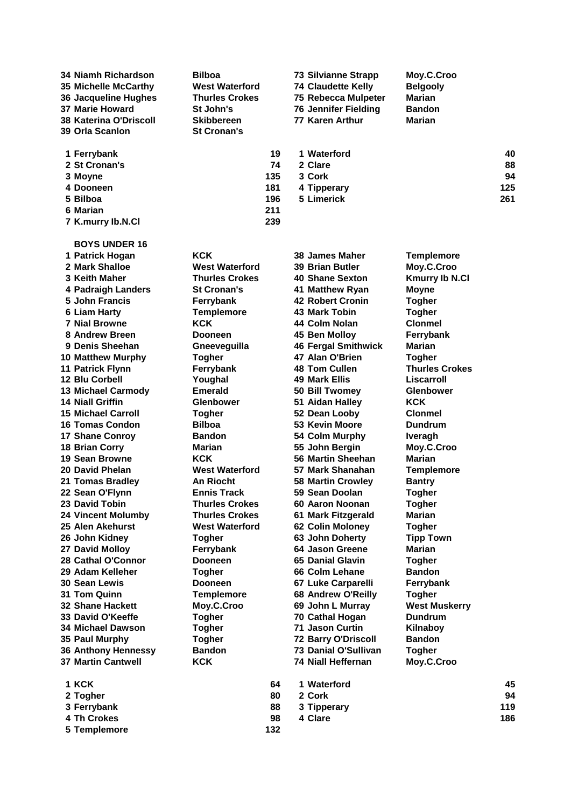| 34 Niamh Richardson           | <b>Bilboa</b>         |     | <b>73 Silvianne Strapp</b>  | Moy.C.Croo            |     |
|-------------------------------|-----------------------|-----|-----------------------------|-----------------------|-----|
| 35 Michelle McCarthy          | <b>West Waterford</b> |     | <b>74 Claudette Kelly</b>   | <b>Belgooly</b>       |     |
| 36 Jacqueline Hughes          | <b>Thurles Crokes</b> |     | 75 Rebecca Mulpeter         | Marian                |     |
| <b>37 Marie Howard</b>        | St John's             |     | <b>76 Jennifer Fielding</b> | <b>Bandon</b>         |     |
| <b>38 Katerina O'Driscoll</b> | Skibbereen            |     | 77 Karen Arthur             | Marian                |     |
| 39 Orla Scanlon               | <b>St Cronan's</b>    |     |                             |                       |     |
| 1 Ferrybank                   |                       | 19  | 1 Waterford                 |                       | 40  |
| 2 St Cronan's                 |                       | 74  | 2 Clare                     |                       | 88  |
| 3 Moyne                       |                       | 135 | 3 Cork                      |                       | 94  |
| 4 Dooneen                     |                       | 181 | 4 Tipperary                 |                       | 125 |
| 5 Bilboa                      |                       | 196 | 5 Limerick                  |                       | 261 |
| 6 Marian                      |                       | 211 |                             |                       |     |
| 7 K.murry lb.N.Cl             |                       | 239 |                             |                       |     |
| <b>BOYS UNDER 16</b>          |                       |     |                             |                       |     |
| 1 Patrick Hogan               | <b>KCK</b>            |     | <b>38 James Maher</b>       | <b>Templemore</b>     |     |
| 2 Mark Shalloe                | <b>West Waterford</b> |     | <b>39 Brian Butler</b>      | Moy.C.Croo            |     |
| 3 Keith Maher                 | <b>Thurles Crokes</b> |     | 40 Shane Sexton             | <b>Kmurry Ib N.Cl</b> |     |
| 4 Padraigh Landers            | <b>St Cronan's</b>    |     | 41 Matthew Ryan             | <b>Moyne</b>          |     |
| 5 John Francis                | Ferrybank             |     | <b>42 Robert Cronin</b>     | <b>Togher</b>         |     |
| <b>6 Liam Harty</b>           | <b>Templemore</b>     |     | 43 Mark Tobin               | <b>Togher</b>         |     |
| <b>7 Nial Browne</b>          | <b>KCK</b>            |     | 44 Colm Nolan               | <b>Clonmel</b>        |     |
| 8 Andrew Breen                | <b>Dooneen</b>        |     | 45 Ben Molloy               | Ferrybank             |     |
| 9 Denis Sheehan               | Gneeveguilla          |     | <b>46 Fergal Smithwick</b>  | Marian                |     |
| <b>10 Matthew Murphy</b>      | Togher                |     | 47 Alan O'Brien             | <b>Togher</b>         |     |
| 11 Patrick Flynn              | Ferrybank             |     | 48 Tom Cullen               | <b>Thurles Crokes</b> |     |
| 12 Blu Corbell                | Youghal               |     | <b>49 Mark Ellis</b>        | Liscarroll            |     |
| 13 Michael Carmody            | <b>Emerald</b>        |     | 50 Bill Twomey              | Glenbower             |     |
| <b>14 Niall Griffin</b>       | <b>Glenbower</b>      |     | 51 Aidan Halley             | <b>KCK</b>            |     |
| <b>15 Michael Carroll</b>     | <b>Togher</b>         |     | 52 Dean Looby               | <b>Clonmel</b>        |     |
| 16 Tomas Condon               | <b>Bilboa</b>         |     | 53 Kevin Moore              | <b>Dundrum</b>        |     |
| 17 Shane Conroy               | <b>Bandon</b>         |     | 54 Colm Murphy              | <b>Iveragh</b>        |     |
| <b>18 Brian Corry</b>         | Marian                |     | 55 John Bergin              | Moy.C.Croo            |     |
| 19 Sean Browne                | <b>KCK</b>            |     | 56 Martin Sheehan           | Marian                |     |
| 20 David Phelan               | <b>West Waterford</b> |     | 57 Mark Shanahan            | <b>Templemore</b>     |     |
| 21 Tomas Bradley              | <b>An Riocht</b>      |     | <b>58 Martin Crowley</b>    | <b>Bantry</b>         |     |
| 22 Sean O'Flynn               | <b>Ennis Track</b>    |     | 59 Sean Doolan              | <b>Togher</b>         |     |
| 23 David Tobin                | Thurles Crokes        |     | 60 Aaron Noonan             | Togher                |     |
| <b>24 Vincent Molumby</b>     | <b>Thurles Crokes</b> |     | 61 Mark Fitzgerald          | Marian                |     |
| 25 Alen Akehurst              | <b>West Waterford</b> |     | 62 Colin Moloney            | <b>Togher</b>         |     |
| 26 John Kidney                | <b>Togher</b>         |     | 63 John Doherty             | <b>Tipp Town</b>      |     |
| 27 David Molloy               | Ferrybank             |     | 64 Jason Greene             | Marian                |     |
| 28 Cathal O'Connor            | <b>Dooneen</b>        |     | 65 Danial Glavin            | <b>Togher</b>         |     |
| 29 Adam Kelleher              | <b>Togher</b>         |     | 66 Colm Lehane              | <b>Bandon</b>         |     |
| <b>30 Sean Lewis</b>          | <b>Dooneen</b>        |     | 67 Luke Carparelli          | Ferrybank             |     |
| 31 Tom Quinn                  | <b>Templemore</b>     |     | 68 Andrew O'Reilly          | <b>Togher</b>         |     |
| <b>32 Shane Hackett</b>       | Moy.C.Croo            |     | 69 John L Murray            | <b>West Muskerry</b>  |     |
| 33 David O'Keeffe             | <b>Togher</b>         |     | 70 Cathal Hogan             | <b>Dundrum</b>        |     |
| <b>34 Michael Dawson</b>      | <b>Togher</b>         |     | <b>71 Jason Curtin</b>      | Kilnaboy              |     |
| 35 Paul Murphy                | <b>Togher</b>         |     | 72 Barry O'Driscoll         | <b>Bandon</b>         |     |
| <b>36 Anthony Hennessy</b>    | <b>Bandon</b>         |     | 73 Danial O'Sullivan        | <b>Togher</b>         |     |
| <b>37 Martin Cantwell</b>     | <b>KCK</b>            |     | <b>74 Niall Heffernan</b>   | Moy.C.Croo            |     |
| 1 KCK                         |                       | 64  | 1 Waterford                 |                       | 45  |
| 2 Togher                      |                       | 80  | 2 Cork                      |                       | 94  |
| 3 Ferrybank                   |                       | 88  | 3 Tipperary                 |                       | 119 |
| 4 Th Crokes                   |                       | 98  | 4 Clare                     |                       | 186 |
| 5 Templemore                  |                       | 132 |                             |                       |     |
|                               |                       |     |                             |                       |     |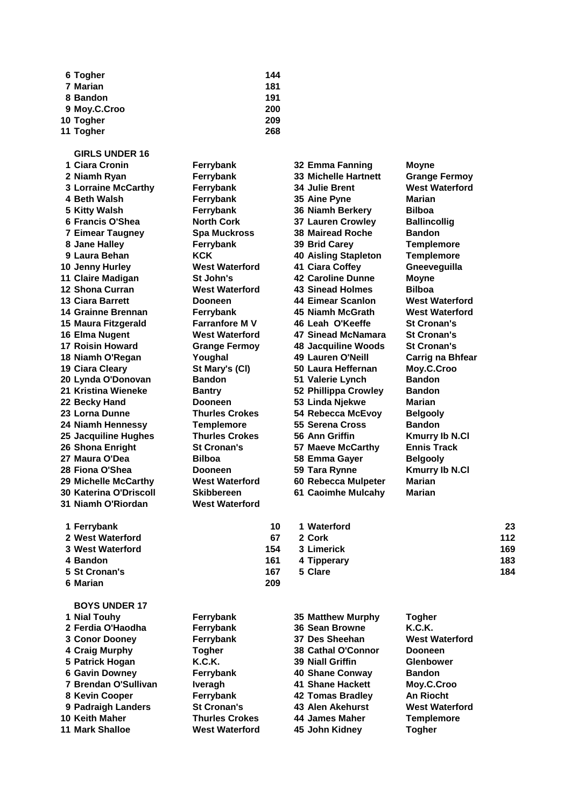| 6 Togher     | 144 |
|--------------|-----|
| 7 Marian     | 181 |
| 8 Bandon     | 191 |
| 9 Moy.C.Croo | 200 |
| 10 Togher    | 209 |
| 11 Togher    | 268 |

 **St Cronan's 167 5 Clare 184 Marian 209**

**GIRLS UNDER 16 Ciara Cronin Ferrybank 32 Emma Fanning Moyne Niamh Ryan Ferrybank 33 Michelle Hartnett Grange Fermoy Lorraine McCarthy Ferrybank 34 Julie Brent West Waterford Beth Walsh Ferrybank 35 Aine Pyne Marian Kitty Walsh Ferrybank 36 Niamh Berkery Bilboa Francis O'Shea North Cork 37 Lauren Crowley Ballincollig Eimear Taugney Spa Muckross 38 Mairead Roche Bandon Jane Halley Ferrybank 39 Brid Carey Templemore Laura Behan KCK 40 Aisling Stapleton Templemore Jenny Hurley West Waterford 41 Ciara Coffey Gneeveguilla Claire Madigan St John's 42 Caroline Dunne Moyne Shona Curran West Waterford 43 Sinead Holmes Bilboa Ciara Barrett Dooneen 44 Eimear Scanlon West Waterford Grainne Brennan Ferrybank 45 Niamh McGrath West Waterford Maura Fitzgerald Farranfore M V 46 Leah O'Keeffe St Cronan's Elma Nugent West Waterford 47 Sinead McNamara St Cronan's Roisin Howard Grange Fermoy 48 Jacquiline Woods St Cronan's Niamh O'Regan Youghal 49 Lauren O'Neill Carrig na Bhfear Ciara Cleary St Mary's (Cl) 50 Laura Heffernan Moy.C.Croo Lynda O'Donovan Bandon 51 Valerie Lynch Bandon Kristina Wieneke Bantry 52 Phillippa Crowley Bandon Becky Hand Dooneen 53 Linda Njekwe Marian Lorna Dunne Thurles Crokes 54 Rebecca McEvoy Belgooly Niamh Hennessy Templemore 55 Serena Cross Bandon Jacquiline Hughes Thurles Crokes 56 Ann Griffin Kmurry Ib N.Cl Shona Enright St Cronan's 57 Maeve McCarthy Ennis Track Maura O'Dea Bilboa 58 Emma Gayer Belgooly Fiona O'Shea Dooneen 59 Tara Rynne Kmurry Ib N.Cl Michelle McCarthy West Waterford 60 Rebecca Mulpeter Marian Katerina O'Driscoll Skibbereen 61 Caoimhe Mulcahy Marian Niamh O'Riordan West Waterford Ferrybank 10 1 Waterford 23 West Waterford 67 2 Cork 112 West Waterford 154 3 Limerick 169**

| 10  | 1 Waterford | 23  |
|-----|-------------|-----|
| 67  | 2 Cork      | 112 |
| 154 | 3 Limerick  | 169 |
| 161 | 4 Tipperary | 183 |
| 167 | 5 Clare     | 184 |
|     |             |     |

| <b>BOYS UNDER 17</b>  |                       |                           |                       |
|-----------------------|-----------------------|---------------------------|-----------------------|
| 1 Nial Touhy          | Ferrybank             | <b>35 Matthew Murphy</b>  | <b>Togher</b>         |
| 2 Ferdia O'Haodha     | Ferrybank             | 36 Sean Browne            | <b>K.C.K.</b>         |
| 3 Conor Dooney        | Ferrybank             | 37 Des Sheehan            | <b>West Waterford</b> |
| 4 Craig Murphy        | Togher                | <b>38 Cathal O'Connor</b> | <b>Dooneen</b>        |
| 5 Patrick Hogan       | K.C.K.                | <b>39 Niall Griffin</b>   | <b>Glenbower</b>      |
| <b>6 Gavin Downey</b> | Ferrybank             | 40 Shane Conway           | <b>Bandon</b>         |
| 7 Brendan O'Sullivan  | <b>Iveragh</b>        | 41 Shane Hackett          | Moy.C.Croo            |
| 8 Kevin Cooper        | Ferrybank             | 42 Tomas Bradley          | <b>An Riocht</b>      |
| 9 Padraigh Landers    | <b>St Cronan's</b>    | <b>43 Alen Akehurst</b>   | <b>West Waterford</b> |
| 10 Keith Maher        | <b>Thurles Crokes</b> | 44 James Maher            | <b>Templemore</b>     |
| 11 Mark Shalloe       | <b>West Waterford</b> | 45 John Kidney            | Togher                |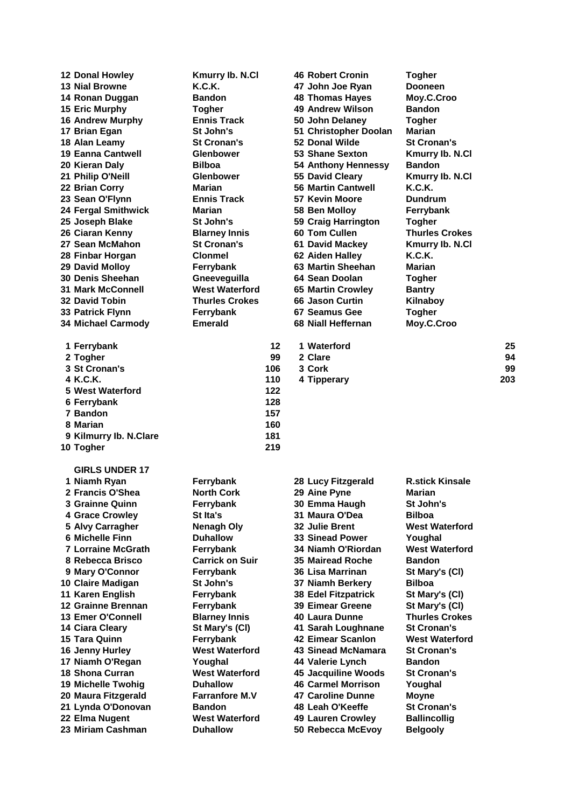| 12 Donal Howley           | Kmurry Ib. N.Cl        |     | <b>46 Robert Cronin</b>                     | <b>Togher</b>          |     |
|---------------------------|------------------------|-----|---------------------------------------------|------------------------|-----|
| <b>13 Nial Browne</b>     | K.C.K.                 |     | 47 John Joe Ryan                            | Dooneen                |     |
| 14 Ronan Duggan           | <b>Bandon</b>          |     | <b>48 Thomas Hayes</b>                      | Moy.C.Croo             |     |
| <b>15 Eric Murphy</b>     | Togher                 |     | <b>49 Andrew Wilson</b>                     | <b>Bandon</b>          |     |
| <b>16 Andrew Murphy</b>   | <b>Ennis Track</b>     |     | 50 John Delaney                             | <b>Togher</b>          |     |
| 17 Brian Egan             | St John's              |     | 51 Christopher Doolan                       | Marian                 |     |
| 18 Alan Leamy             | <b>St Cronan's</b>     |     | 52 Donal Wilde                              | <b>St Cronan's</b>     |     |
| <b>19 Eanna Cantwell</b>  | <b>Glenbower</b>       |     | 53 Shane Sexton                             | Kmurry Ib. N.Cl        |     |
| 20 Kieran Daly            | <b>Bilboa</b>          |     | <b>54 Anthony Hennessy</b>                  | <b>Bandon</b>          |     |
| 21 Philip O'Neill         | <b>Glenbower</b>       |     | 55 David Cleary                             | Kmurry Ib. N.Cl        |     |
| 22 Brian Corry            | Marian                 |     | <b>56 Martin Cantwell</b>                   | K.C.K.                 |     |
| 23 Sean O'Flynn           | <b>Ennis Track</b>     |     | 57 Kevin Moore                              | Dundrum                |     |
| 24 Fergal Smithwick       | Marian                 |     | 58 Ben Molloy                               | Ferrybank              |     |
| 25 Joseph Blake           | St John's              |     | 59 Craig Harrington                         | <b>Togher</b>          |     |
| 26 Ciaran Kenny           | <b>Blarney Innis</b>   |     | 60 Tom Cullen                               | <b>Thurles Crokes</b>  |     |
| 27 Sean McMahon           | <b>St Cronan's</b>     |     | <b>61 David Mackey</b>                      | Kmurry Ib. N.Cl        |     |
| 28 Finbar Horgan          | <b>Clonmel</b>         |     | 62 Aiden Halley                             | K.C.K.                 |     |
| 29 David Molloy           | Ferrybank              |     | 63 Martin Sheehan                           | Marian                 |     |
| <b>30 Denis Sheehan</b>   | Gneeveguilla           |     | 64 Sean Doolan                              | <b>Togher</b>          |     |
| <b>31 Mark McConnell</b>  | <b>West Waterford</b>  |     |                                             |                        |     |
|                           | <b>Thurles Crokes</b>  |     | <b>65 Martin Crowley</b><br>66 Jason Curtin | <b>Bantry</b>          |     |
| <b>32 David Tobin</b>     |                        |     | 67 Seamus Gee                               | Kilnaboy               |     |
| 33 Patrick Flynn          | Ferrybank              |     | 68 Niall Heffernan                          | <b>Togher</b>          |     |
| 34 Michael Carmody        | <b>Emerald</b>         |     |                                             | Moy.C.Croo             |     |
| 1 Ferrybank               |                        | 12  | 1 Waterford                                 |                        | 25  |
| 2 Togher                  |                        | 99  | 2 Clare                                     |                        | 94  |
| 3 St Cronan's             |                        | 106 | 3 Cork                                      |                        | 99  |
| 4 K.C.K.                  |                        | 110 | 4 Tipperary                                 |                        | 203 |
| 5 West Waterford          |                        | 122 |                                             |                        |     |
| 6 Ferrybank               |                        | 128 |                                             |                        |     |
| 7 Bandon                  |                        | 157 |                                             |                        |     |
| 8 Marian                  |                        | 160 |                                             |                        |     |
| 9 Kilmurry Ib. N.Clare    |                        | 181 |                                             |                        |     |
| 10 Togher                 |                        | 219 |                                             |                        |     |
|                           |                        |     |                                             |                        |     |
| <b>GIRLS UNDER 17</b>     |                        |     |                                             |                        |     |
| 1 Niamh Ryan              | Ferrybank              |     | 28 Lucy Fitzgerald                          | <b>R.stick Kinsale</b> |     |
| 2 Francis O'Shea          | <b>North Cork</b>      |     | 29 Aine Pyne                                | Marian                 |     |
| 3 Grainne Quinn           | Ferrybank              |     | 30 Emma Haugh                               | St John's              |     |
| <b>4 Grace Crowley</b>    | <b>St Ita's</b>        |     | 31 Maura O'Dea                              | <b>Bilboa</b>          |     |
| 5 Alvy Carragher          | Nenagh Oly             |     | 32 Julie Brent                              | <b>West Waterford</b>  |     |
| 6 Michelle Finn           | <b>Duhallow</b>        |     | <b>33 Sinead Power</b>                      | Youghal                |     |
| <b>7 Lorraine McGrath</b> | Ferrybank              |     | 34 Niamh O'Riordan                          | <b>West Waterford</b>  |     |
| 8 Rebecca Brisco          | <b>Carrick on Suir</b> |     | <b>35 Mairead Roche</b>                     | <b>Bandon</b>          |     |
| 9 Mary O'Connor           | Ferrybank              |     | 36 Lisa Marrinan                            | St Mary's (CI)         |     |
| 10 Claire Madigan         | St John's              |     | 37 Niamh Berkery                            | <b>Bilboa</b>          |     |
| 11 Karen English          | Ferrybank              |     | <b>38 Edel Fitzpatrick</b>                  | St Mary's (CI)         |     |
| 12 Grainne Brennan        | Ferrybank              |     | <b>39 Eimear Greene</b>                     | St Mary's (CI)         |     |
| 13 Emer O'Connell         | <b>Blarney Innis</b>   |     | 40 Laura Dunne                              | <b>Thurles Crokes</b>  |     |
| 14 Ciara Cleary           | St Mary's (CI)         |     | 41 Sarah Loughnane                          | <b>St Cronan's</b>     |     |
| 15 Tara Quinn             | Ferrybank              |     | <b>42 Eimear Scanlon</b>                    | <b>West Waterford</b>  |     |
| 16 Jenny Hurley           | <b>West Waterford</b>  |     | 43 Sinead McNamara                          | <b>St Cronan's</b>     |     |
| 17 Niamh O'Regan          | Youghal                |     | 44 Valerie Lynch                            | <b>Bandon</b>          |     |
| <b>18 Shona Curran</b>    | <b>West Waterford</b>  |     | 45 Jacquiline Woods                         | <b>St Cronan's</b>     |     |
| 19 Michelle Twohig        | <b>Duhallow</b>        |     | <b>46 Carmel Morrison</b>                   | Youghal                |     |
| 20 Maura Fitzgerald       | <b>Farranfore M.V</b>  |     | <b>47 Caroline Dunne</b>                    | <b>Moyne</b>           |     |
| 21 Lynda O'Donovan        | <b>Bandon</b>          |     | 48 Leah O'Keeffe                            | <b>St Cronan's</b>     |     |
| 22 Elma Nugent            | <b>West Waterford</b>  |     | <b>49 Lauren Crowley</b>                    | <b>Ballincollig</b>    |     |
| 23 Miriam Cashman         | <b>Duhallow</b>        |     | 50 Rebecca McEvoy                           | <b>Belgooly</b>        |     |
|                           |                        |     |                                             |                        |     |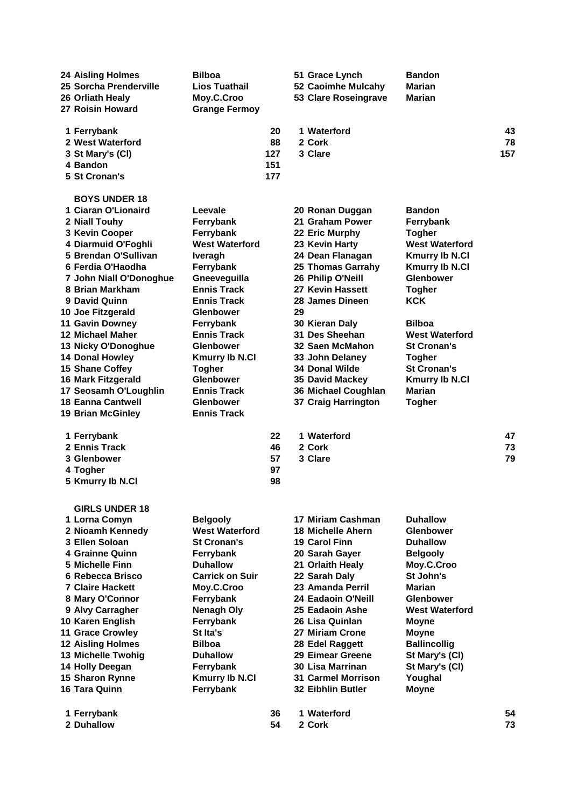| <b>24 Aisling Holmes</b>  | <b>Bilboa</b>          |     | 51 Grace Lynch            | <b>Bandon</b>         |     |
|---------------------------|------------------------|-----|---------------------------|-----------------------|-----|
| 25 Sorcha Prenderville    | <b>Lios Tuathail</b>   |     | 52 Caoimhe Mulcahy        | <b>Marian</b>         |     |
| 26 Orliath Healy          | Moy.C.Croo             |     | 53 Clare Roseingrave      | Marian                |     |
| 27 Roisin Howard          | <b>Grange Fermoy</b>   |     |                           |                       |     |
|                           |                        |     |                           |                       |     |
| 1 Ferrybank               |                        | 20  | 1 Waterford               |                       | 43  |
| 2 West Waterford          |                        | 88  | 2 Cork                    |                       | 78  |
| 3 St Mary's (CI)          |                        | 127 | 3 Clare                   |                       | 157 |
| 4 Bandon                  |                        | 151 |                           |                       |     |
| 5 St Cronan's             |                        | 177 |                           |                       |     |
|                           |                        |     |                           |                       |     |
| <b>BOYS UNDER 18</b>      |                        |     |                           |                       |     |
| 1 Ciaran O'Lionaird       | Leevale                |     | 20 Ronan Duggan           | <b>Bandon</b>         |     |
| 2 Niall Touhy             | Ferrybank              |     | 21 Graham Power           | Ferrybank             |     |
| 3 Kevin Cooper            | Ferrybank              |     | 22 Eric Murphy            | <b>Togher</b>         |     |
| 4 Diarmuid O'Foghli       | <b>West Waterford</b>  |     | 23 Kevin Harty            | <b>West Waterford</b> |     |
| 5 Brendan O'Sullivan      | <b>Iveragh</b>         |     | 24 Dean Flanagan          | <b>Kmurry Ib N.Cl</b> |     |
| 6 Ferdia O'Haodha         | Ferrybank              |     | <b>25 Thomas Garrahy</b>  | <b>Kmurry Ib N.Cl</b> |     |
| 7 John Niall O'Donoghue   | Gneeveguilla           |     | 26 Philip O'Neill         | <b>Glenbower</b>      |     |
| 8 Brian Markham           | <b>Ennis Track</b>     |     | 27 Kevin Hassett          | <b>Togher</b>         |     |
| 9 David Quinn             | <b>Ennis Track</b>     |     | 28 James Dineen           | <b>KCK</b>            |     |
| 10 Joe Fitzgerald         | <b>Glenbower</b>       |     | 29                        |                       |     |
| <b>11 Gavin Downey</b>    | Ferrybank              |     | 30 Kieran Daly            | <b>Bilboa</b>         |     |
| <b>12 Michael Maher</b>   | <b>Ennis Track</b>     |     | 31 Des Sheehan            | <b>West Waterford</b> |     |
| 13 Nicky O'Donoghue       | Glenbower              |     | 32 Saen McMahon           | <b>St Cronan's</b>    |     |
| 14 Donal Howley           | <b>Kmurry Ib N.Cl</b>  |     | 33 John Delaney           | <b>Togher</b>         |     |
| 15 Shane Coffey           | <b>Togher</b>          |     | <b>34 Donal Wilde</b>     | <b>St Cronan's</b>    |     |
| <b>16 Mark Fitzgerald</b> | <b>Glenbower</b>       |     | 35 David Mackey           | <b>Kmurry Ib N.Cl</b> |     |
| 17 Seosamh O'Loughlin     | <b>Ennis Track</b>     |     | 36 Michael Coughlan       | Marian                |     |
| <b>18 Eanna Cantwell</b>  | <b>Glenbower</b>       |     | 37 Craig Harrington       | <b>Togher</b>         |     |
| <b>19 Brian McGinley</b>  | <b>Ennis Track</b>     |     |                           |                       |     |
| 1 Ferrybank               |                        | 22  | 1 Waterford               |                       | 47  |
| 2 Ennis Track             |                        | 46  | 2 Cork                    |                       | 73  |
| 3 Glenbower               |                        | 57  | 3 Clare                   |                       | 79  |
| 4 Togher                  |                        | 97  |                           |                       |     |
| 5 Kmurry Ib N.Cl          |                        | 98  |                           |                       |     |
|                           |                        |     |                           |                       |     |
| <b>GIRLS UNDER 18</b>     |                        |     |                           |                       |     |
| 1 Lorna Comyn             | <b>Belgooly</b>        |     | 17 Miriam Cashman         | <b>Duhallow</b>       |     |
| 2 Nioamh Kennedy          | <b>West Waterford</b>  |     | <b>18 Michelle Ahern</b>  | <b>Glenbower</b>      |     |
| 3 Ellen Soloan            | <b>St Cronan's</b>     |     | 19 Carol Finn             | <b>Duhallow</b>       |     |
| 4 Grainne Quinn           | Ferrybank              |     | 20 Sarah Gayer            | <b>Belgooly</b>       |     |
| 5 Michelle Finn           | <b>Duhallow</b>        |     | 21 Orlaith Healy          | Moy.C.Croo            |     |
| 6 Rebecca Brisco          | <b>Carrick on Suir</b> |     | 22 Sarah Daly             | St John's             |     |
| <b>7 Claire Hackett</b>   | Moy.C.Croo             |     | 23 Amanda Perril          | Marian                |     |
| 8 Mary O'Connor           | Ferrybank              |     | 24 Eadaoin O'Neill        | <b>Glenbower</b>      |     |
| 9 Alvy Carragher          | <b>Nenagh Oly</b>      |     | 25 Eadaoin Ashe           | <b>West Waterford</b> |     |
| 10 Karen English          | Ferrybank              |     | 26 Lisa Quinlan           | <b>Moyne</b>          |     |
| <b>11 Grace Crowley</b>   | St Ita's               |     | 27 Miriam Crone           | <b>Moyne</b>          |     |
| <b>12 Aisling Holmes</b>  | <b>Bilboa</b>          |     | 28 Edel Raggett           | <b>Ballincollig</b>   |     |
| 13 Michelle Twohig        | <b>Duhallow</b>        |     | 29 Eimear Greene          | St Mary's (CI)        |     |
|                           |                        |     | 30 Lisa Marrinan          |                       |     |
| 14 Holly Deegan           | Ferrybank              |     | <b>31 Carmel Morrison</b> | St Mary's (CI)        |     |
| 15 Sharon Rynne           | <b>Kmurry Ib N.CI</b>  |     |                           | Youghal               |     |
| 16 Tara Quinn             | Ferrybank              |     | <b>32 Eibhlin Butler</b>  | <b>Moyne</b>          |     |
| 1 Ferrybank               |                        | 36  | 1 Waterford               |                       | 54  |
| 2 Duhallow                |                        | 54  | 2 Cork                    |                       | 73  |